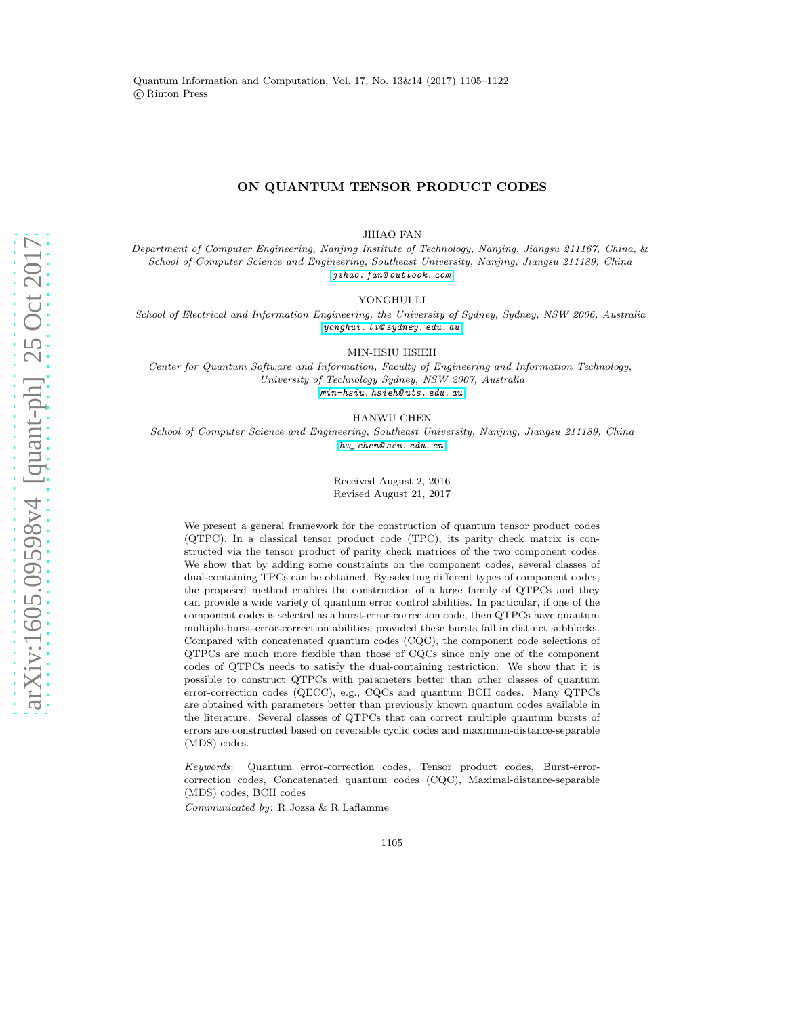Quantum Information and Computation, Vol. 17, No. 13&14 (2017) 1105–1122 c Rinton Press

## ON QUANTUM TENSOR PRODUCT CODES

JIHAO FAN

Department of Computer Engineering, Nanjing Institute of Technology, Nanjing, Jiangsu 211167, China, & School of Computer Science and Engineering, Southeast University, Nanjing, Jiangsu 211189, China [jihao. fan@ outlook. com](jihao.fan@outlook.com)

YONGHUI LI

School of Electrical and Information Engineering, the University of Sydney, Sydney, NSW 2006, Australia [yonghui. li@ sydney. edu. au](yonghui.li@sydney.edu.au)

MIN-HSIU HSIEH

Center for Quantum Software and Information, Faculty of Engineering and Information Technology, University of Technology Sydney, NSW 2007, Australia [min-hsiu. hsieh@ uts. edu. au](min-hsiu.hsieh@uts.edu.au)

HANWU CHEN

School of Computer Science and Engineering, Southeast University, Nanjing, Jiangsu 211189, China [hw\\_ chen@ seu. edu. cn](hw_chen@seu.edu.cn)

> Received August 2, 2016 Revised August 21, 2017

We present a general framework for the construction of quantum tensor product codes (QTPC). In a classical tensor product code (TPC), its parity check matrix is constructed via the tensor product of parity check matrices of the two component codes. We show that by adding some constraints on the component codes, several classes of dual-containing TPCs can be obtained. By selecting different types of component codes, the proposed method enables the construction of a large family of QTPCs and they can provide a wide variety of quantum error control abilities. In particular, if one of the component codes is selected as a burst-error-correction code, then QTPCs have quantum multiple-burst-error-correction abilities, provided these bursts fall in distinct subblocks. Compared with concatenated quantum codes (CQC), the component code selections of QTPCs are much more flexible than those of CQCs since only one of the component codes of QTPCs needs to satisfy the dual-containing restriction. We show that it is possible to construct QTPCs with parameters better than other classes of quantum error-correction codes (QECC), e.g., CQCs and quantum BCH codes. Many QTPCs are obtained with parameters better than previously known quantum codes available in the literature. Several classes of QTPCs that can correct multiple quantum bursts of errors are constructed based on reversible cyclic codes and maximum-distance-separable (MDS) codes.

Keywords: Quantum error-correction codes, Tensor product codes, Burst-errorcorrection codes, Concatenated quantum codes (CQC), Maximal-distance-separable (MDS) codes, BCH codes

Communicated by: R Jozsa & R Laflamme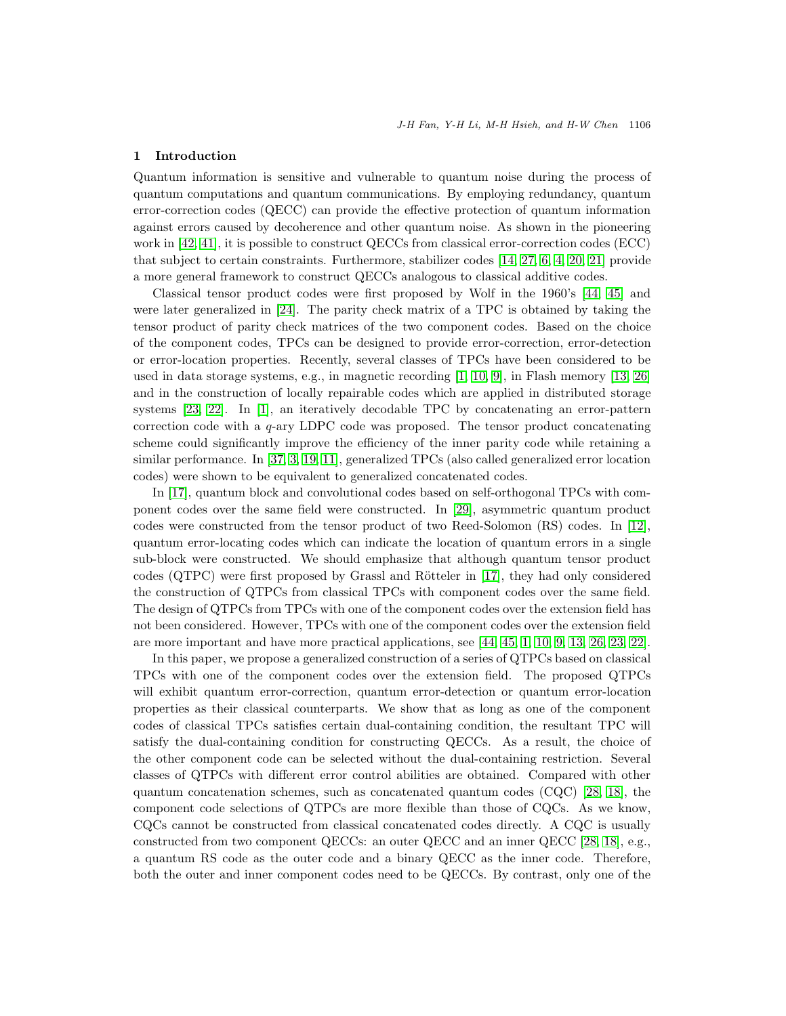# 1 Introduction

Quantum information is sensitive and vulnerable to quantum noise during the process of quantum computations and quantum communications. By employing redundancy, quantum error-correction codes (QECC) can provide the effective protection of quantum information against errors caused by decoherence and other quantum noise. As shown in the pioneering work in [\[42,](#page-17-0) [41\]](#page-17-1), it is possible to construct QECCs from classical error-correction codes (ECC) that subject to certain constraints. Furthermore, stabilizer codes [\[14,](#page-16-0) [27,](#page-17-2) [6,](#page-16-1) [4,](#page-16-2) [20,](#page-16-3) [21\]](#page-16-4) provide a more general framework to construct QECCs analogous to classical additive codes.

Classical tensor product codes were first proposed by Wolf in the 1960's [\[44,](#page-17-3) [45\]](#page-17-4) and were later generalized in [\[24\]](#page-17-5). The parity check matrix of a TPC is obtained by taking the tensor product of parity check matrices of the two component codes. Based on the choice of the component codes, TPCs can be designed to provide error-correction, error-detection or error-location properties. Recently, several classes of TPCs have been considered to be used in data storage systems, e.g., in magnetic recording [\[1,](#page-16-5) [10,](#page-16-6) [9\]](#page-16-7), in Flash memory [\[13,](#page-16-8) [26\]](#page-17-6) and in the construction of locally repairable codes which are applied in distributed storage systems [\[23,](#page-16-9) [22\]](#page-16-10). In [\[1\]](#page-16-5), an iteratively decodable TPC by concatenating an error-pattern correction code with a q-ary LDPC code was proposed. The tensor product concatenating scheme could significantly improve the efficiency of the inner parity code while retaining a similar performance. In [\[37,](#page-17-7) [3,](#page-16-11) [19,](#page-16-12) [11\]](#page-16-13), generalized TPCs (also called generalized error location codes) were shown to be equivalent to generalized concatenated codes.

In [\[17\]](#page-16-14), quantum block and convolutional codes based on self-orthogonal TPCs with component codes over the same field were constructed. In [\[29\]](#page-17-8), asymmetric quantum product codes were constructed from the tensor product of two Reed-Solomon (RS) codes. In [\[12\]](#page-16-15), quantum error-locating codes which can indicate the location of quantum errors in a single sub-block were constructed. We should emphasize that although quantum tensor product  $\alpha$  (QTPC) were first proposed by Grassl and Rötteler in [\[17\]](#page-16-14), they had only considered the construction of QTPCs from classical TPCs with component codes over the same field. The design of QTPCs from TPCs with one of the component codes over the extension field has not been considered. However, TPCs with one of the component codes over the extension field are more important and have more practical applications, see [\[44,](#page-17-3) [45,](#page-17-4) [1,](#page-16-5) [10,](#page-16-6) [9,](#page-16-7) [13,](#page-16-8) [26,](#page-17-6) [23,](#page-16-9) [22\]](#page-16-10).

In this paper, we propose a generalized construction of a series of QTPCs based on classical TPCs with one of the component codes over the extension field. The proposed QTPCs will exhibit quantum error-correction, quantum error-detection or quantum error-location properties as their classical counterparts. We show that as long as one of the component codes of classical TPCs satisfies certain dual-containing condition, the resultant TPC will satisfy the dual-containing condition for constructing QECCs. As a result, the choice of the other component code can be selected without the dual-containing restriction. Several classes of QTPCs with different error control abilities are obtained. Compared with other quantum concatenation schemes, such as concatenated quantum codes (CQC) [\[28,](#page-17-9) [18\]](#page-16-16), the component code selections of QTPCs are more flexible than those of CQCs. As we know, CQCs cannot be constructed from classical concatenated codes directly. A CQC is usually constructed from two component QECCs: an outer QECC and an inner QECC [\[28,](#page-17-9) [18\]](#page-16-16), e.g., a quantum RS code as the outer code and a binary QECC as the inner code. Therefore, both the outer and inner component codes need to be QECCs. By contrast, only one of the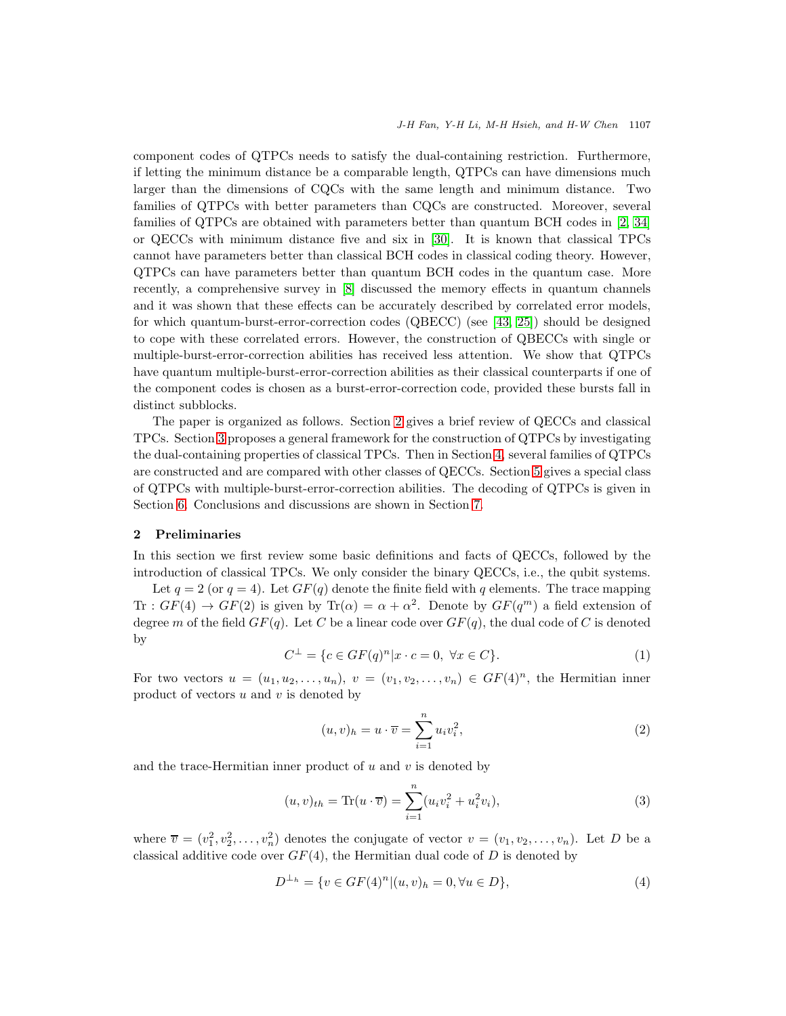component codes of QTPCs needs to satisfy the dual-containing restriction. Furthermore, if letting the minimum distance be a comparable length, QTPCs can have dimensions much larger than the dimensions of CQCs with the same length and minimum distance. Two families of QTPCs with better parameters than CQCs are constructed. Moreover, several families of QTPCs are obtained with parameters better than quantum BCH codes in [\[2,](#page-16-17) [34\]](#page-17-10) or QECCs with minimum distance five and six in [\[30\]](#page-17-11). It is known that classical TPCs cannot have parameters better than classical BCH codes in classical coding theory. However, QTPCs can have parameters better than quantum BCH codes in the quantum case. More recently, a comprehensive survey in [\[8\]](#page-16-18) discussed the memory effects in quantum channels and it was shown that these effects can be accurately described by correlated error models, for which quantum-burst-error-correction codes (QBECC) (see [\[43,](#page-17-12) [25\]](#page-17-13)) should be designed to cope with these correlated errors. However, the construction of QBECCs with single or multiple-burst-error-correction abilities has received less attention. We show that QTPCs have quantum multiple-burst-error-correction abilities as their classical counterparts if one of the component codes is chosen as a burst-error-correction code, provided these bursts fall in distinct subblocks.

The paper is organized as follows. Section [2](#page-2-0) gives a brief review of QECCs and classical TPCs. Section [3](#page-5-0) proposes a general framework for the construction of QTPCs by investigating the dual-containing properties of classical TPCs. Then in Section [4,](#page-9-0) several families of QTPCs are constructed and are compared with other classes of QECCs. Section [5](#page-13-0) gives a special class of QTPCs with multiple-burst-error-correction abilities. The decoding of QTPCs is given in Section [6.](#page-15-0) Conclusions and discussions are shown in Section [7.](#page-15-1)

## <span id="page-2-0"></span>2 Preliminaries

In this section we first review some basic definitions and facts of QECCs, followed by the introduction of classical TPCs. We only consider the binary QECCs, i.e., the qubit systems.

Let  $q = 2$  (or  $q = 4$ ). Let  $GF(q)$  denote the finite field with q elements. The trace mapping Tr :  $GF(4) \rightarrow GF(2)$  is given by Tr $(\alpha) = \alpha + \alpha^2$ . Denote by  $GF(q^m)$  a field extension of degree m of the field  $GF(q)$ . Let C be a linear code over  $GF(q)$ , the dual code of C is denoted by

$$
C^{\perp} = \{c \in GF(q)^{n} | x \cdot c = 0, \ \forall x \in C\}.
$$
 (1)

For two vectors  $u = (u_1, u_2, \ldots, u_n), v = (v_1, v_2, \ldots, v_n) \in GF(4)^n$ , the Hermitian inner product of vectors  $u$  and  $v$  is denoted by

$$
(u,v)_h = u \cdot \overline{v} = \sum_{i=1}^n u_i v_i^2,
$$
\n
$$
(2)
$$

and the trace-Hermitian inner product of  $u$  and  $v$  is denoted by

$$
(u, v)_{th} = \text{Tr}(u \cdot \overline{v}) = \sum_{i=1}^{n} (u_i v_i^2 + u_i^2 v_i), \tag{3}
$$

where  $\overline{v} = (v_1^2, v_2^2, \ldots, v_n^2)$  denotes the conjugate of vector  $v = (v_1, v_2, \ldots, v_n)$ . Let D be a classical additive code over  $GF(4)$ , the Hermitian dual code of D is denoted by

$$
D^{\perp_h} = \{ v \in GF(4)^n | (u, v)_h = 0, \forall u \in D \},\tag{4}
$$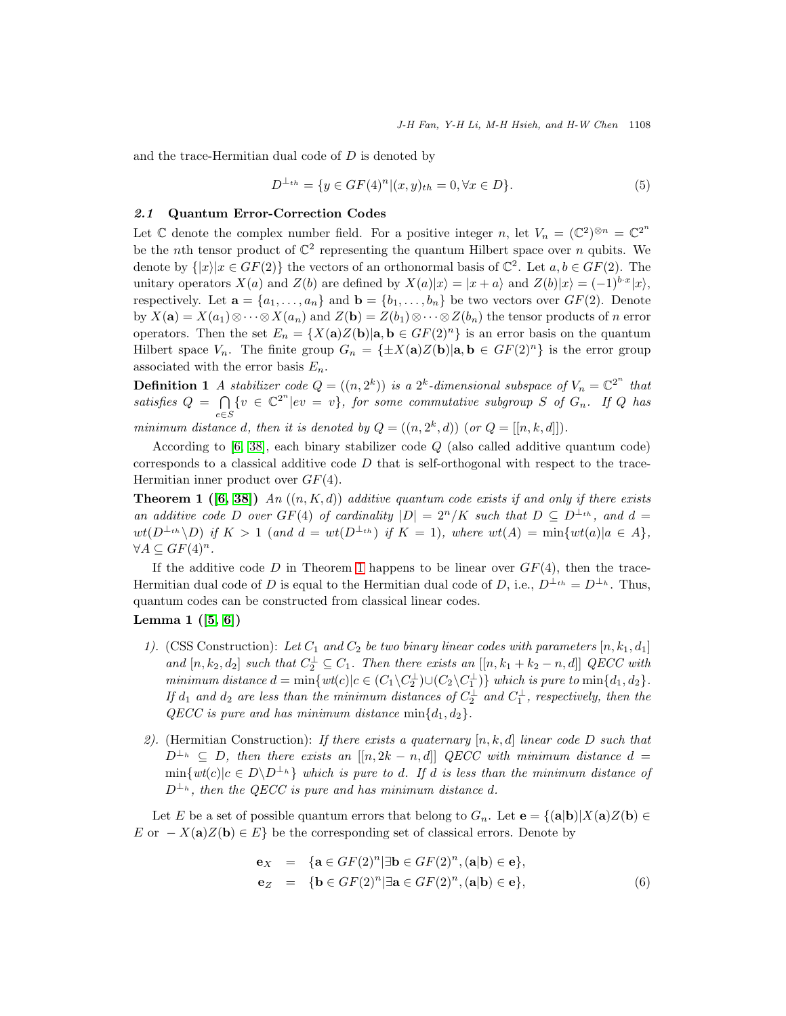and the trace-Hermitian dual code of  $D$  is denoted by

$$
D^{\perp_{th}} = \{ y \in GF(4)^n | (x, y)_{th} = 0, \forall x \in D \}. \tag{5}
$$

### 2.1 Quantum Error-Correction Codes

Let C denote the complex number field. For a positive integer n, let  $V_n = (\mathbb{C}^2)^{\otimes n} = \mathbb{C}^{2^n}$ be the *n*th tensor product of  $\mathbb{C}^2$  representing the quantum Hilbert space over *n* qubits. We denote by  $\{|x\rangle | x \in GF(2)\}\$  the vectors of an orthonormal basis of  $\mathbb{C}^2$ . Let  $a, b \in GF(2)$ . The unitary operators  $X(a)$  and  $Z(b)$  are defined by  $X(a)|x\rangle = |x + a\rangle$  and  $Z(b)|x\rangle = (-1)^{b \cdot x} |x\rangle$ , respectively. Let  $\mathbf{a} = \{a_1, \ldots, a_n\}$  and  $\mathbf{b} = \{b_1, \ldots, b_n\}$  be two vectors over  $GF(2)$ . Denote by  $X(\mathbf{a}) = X(a_1) \otimes \cdots \otimes X(a_n)$  and  $Z(\mathbf{b}) = Z(b_1) \otimes \cdots \otimes Z(b_n)$  the tensor products of n error operators. Then the set  $E_n = \{X(\mathbf{a})Z(\mathbf{b})|\mathbf{a}, \mathbf{b} \in GF(2)^n\}$  is an error basis on the quantum Hilbert space  $V_n$ . The finite group  $G_n = {\pm X(\mathbf{a})Z(\mathbf{b})|\mathbf{a}, \mathbf{b} \in GF(2)^n}$  is the error group associated with the error basis  $E_n$ .

**Definition 1** A stabilizer code  $Q = ((n, 2^k))$  is a  $2^k$ -dimensional subspace of  $V_n = \mathbb{C}^{2^n}$  that satisfies  $Q = \bigcap$ e∈S  $\{v \in \mathbb{C}^{2^n} | ev = v\}$ , for some commutative subgroup S of  $G_n$ . If Q has

minimum distance d, then it is denoted by  $Q = ((n, 2<sup>k</sup>, d))$  (or  $Q = [[n, k, d]]$ ).

According to  $[6, 38]$  $[6, 38]$ , each binary stabilizer code Q (also called additive quantum code) corresponds to a classical additive code  $D$  that is self-orthogonal with respect to the trace-Hermitian inner product over  $GF(4)$ .

<span id="page-3-0"></span>**Theorem 1** ([\[6,](#page-16-1) [38\]](#page-17-14)) An  $((n, K, d))$  additive quantum code exists if and only if there exists an additive code D over  $GF(4)$  of cardinality  $|D| = 2^n/K$  such that  $D \subseteq D^{\perp_{th}}$ , and  $d =$  $wt(D^{\perp_{th}} \backslash D)$  if  $K > 1$  (and  $d = wt(D^{\perp_{th}})$  if  $K = 1$ ), where  $wt(A) = min\{wt(a)|a \in A\}$ ,  $\forall A \subseteq GF(4)^n$ .

If the additive code D in Theorem [1](#page-3-0) happens to be linear over  $GF(4)$ , then the trace-Hermitian dual code of D is equal to the Hermitian dual code of D, i.e.,  $D^{\perp_{th}} = D^{\perp_{h}}$ . Thus, quantum codes can be constructed from classical linear codes.

## <span id="page-3-1"></span>Lemma 1 ([\[5,](#page-16-19) [6\]](#page-16-1))

- 1). (CSS Construction): Let  $C_1$  and  $C_2$  be two binary linear codes with parameters  $[n, k_1, d_1]$ and  $[n, k_2, d_2]$  such that  $C_2^{\perp} \subseteq C_1$ . Then there exists an  $[[n, k_1 + k_2 - n, d]]$  QECC with minimum distance  $d = \min \{wt(c) | c \in (C_1 \setminus C_2^{\perp}) \cup (C_2 \setminus C_1^{\perp})\}$  which is pure to  $\min\{d_1, d_2\}$ . If  $d_1$  and  $d_2$  are less than the minimum distances of  $C_2^{\perp}$  and  $C_1^{\perp}$ , respectively, then the QECC is pure and has minimum distance  $\min\{d_1, d_2\}$ .
- 2). (Hermitian Construction): If there exists a quaternary  $[n, k, d]$  linear code D such that  $D^{\perp_h} \subseteq D$ , then there exists an  $[[n, 2k - n, d]]$  QECC with minimum distance  $d =$  $\min\{wt(c)|c \in D\setminus D^{\perp_h}\}\$  which is pure to d. If d is less than the minimum distance of  $D^{\perp_h}$ , then the QECC is pure and has minimum distance d.

Let E be a set of possible quantum errors that belong to  $G_n$ . Let  $\mathbf{e} = {\mathbf{a} | \mathbf{b} | X(\mathbf{a})Z(\mathbf{b}) \in \mathbb{R}^n}$ E or  $-X(a)Z(b) \in E$  be the corresponding set of classical errors. Denote by

$$
\begin{array}{rcl}\n\mathbf{e}_X & = & \{ \mathbf{a} \in GF(2)^n | \exists \mathbf{b} \in GF(2)^n, (\mathbf{a}|\mathbf{b}) \in \mathbf{e} \}, \\
\mathbf{e}_Z & = & \{ \mathbf{b} \in GF(2)^n | \exists \mathbf{a} \in GF(2)^n, (\mathbf{a}|\mathbf{b}) \in \mathbf{e} \},\n\end{array} \tag{6}
$$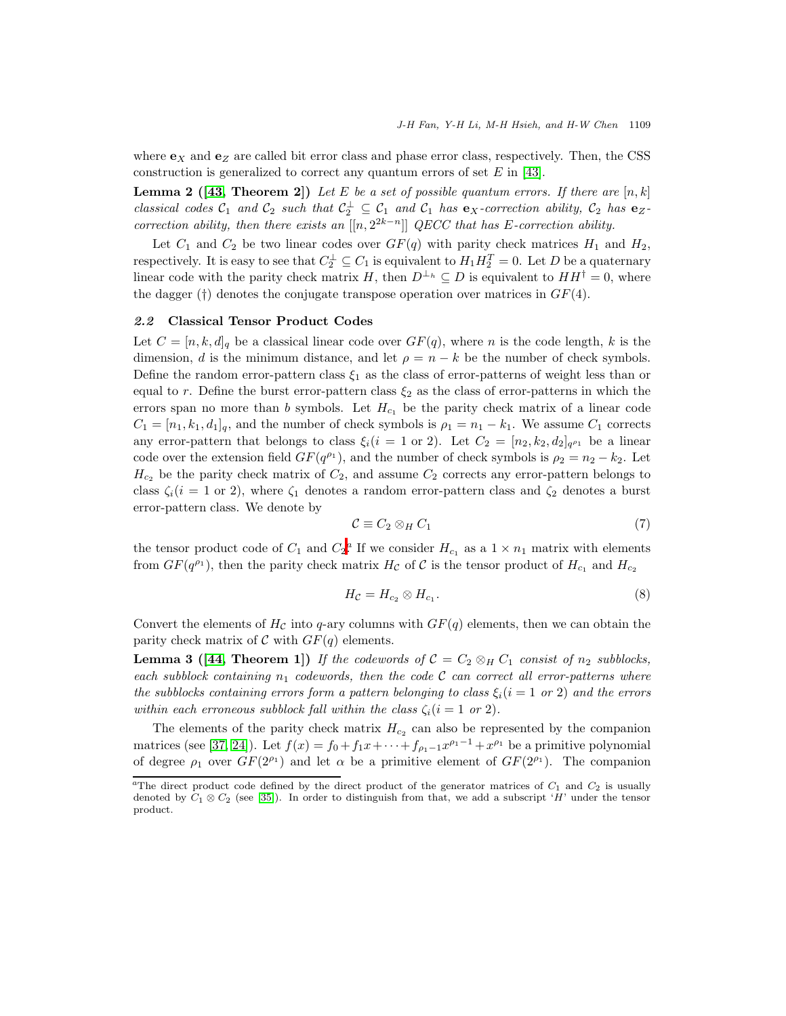<span id="page-4-1"></span>where  $\mathbf{e}_X$  and  $\mathbf{e}_Z$  are called bit error class and phase error class, respectively. Then, the CSS construction is generalized to correct any quantum errors of set  $E$  in [\[43\]](#page-17-12).

**Lemma 2** ([\[43,](#page-17-12) Theorem 2]) Let E be a set of possible quantum errors. If there are  $[n, k]$ classical codes  $C_1$  and  $C_2$  such that  $C_2^{\perp} \subseteq C_1$  and  $C_1$  has  $e_X$ -correction ability,  $C_2$  has  $e_Z$ correction ability, then there exists an  $[[n, 2^{2k-n}]]$  QECC that has E-correction ability.

Let  $C_1$  and  $C_2$  be two linear codes over  $GF(q)$  with parity check matrices  $H_1$  and  $H_2$ , respectively. It is easy to see that  $C_2^{\perp} \subseteq C_1$  is equivalent to  $H_1 H_2^T = 0$ . Let D be a quaternary linear code with the parity check matrix H, then  $D^{\perp_h} \subseteq D$  is equivalent to  $HH^{\dagger} = 0$ , where the dagger (†) denotes the conjugate transpose operation over matrices in  $GF(4)$ .

### 2.2 Classical Tensor Product Codes

Let  $C = [n, k, d]_q$  be a classical linear code over  $GF(q)$ , where n is the code length, k is the dimension, d is the minimum distance, and let  $\rho = n - k$  be the number of check symbols. Define the random error-pattern class  $\xi_1$  as the class of error-patterns of weight less than or equal to r. Define the burst error-pattern class  $\xi_2$  as the class of error-patterns in which the errors span no more than b symbols. Let  $H_{c_1}$  be the parity check matrix of a linear code  $C_1 = [n_1, k_1, d_1]_q$ , and the number of check symbols is  $\rho_1 = n_1 - k_1$ . We assume  $C_1$  corrects any error-pattern that belongs to class  $\xi_i (i = 1 \text{ or } 2)$ . Let  $C_2 = [n_2, k_2, d_2]_{q^{\rho_1}}$  be a linear code over the extension field  $GF(q^{\rho_1})$ , and the number of check symbols is  $\rho_2 = n_2 - k_2$ . Let  $H_{c_2}$  be the parity check matrix of  $C_2$ , and assume  $C_2$  corrects any error-pattern belongs to class  $\zeta_i(i = 1 \text{ or } 2)$ , where  $\zeta_1$  denotes a random error-pattern class and  $\zeta_2$  denotes a burst error-pattern class. We denote by

$$
\mathcal{C} \equiv C_2 \otimes_H C_1 \tag{7}
$$

the tensor product code of  $C_1$  and  $C_2$  $C_2$ <sup>a</sup>. If we consider  $H_{c_1}$  as a  $1 \times n_1$  matrix with elements from  $GF(q^{\rho_1})$ , then the parity check matrix  $H_{\mathcal{C}}$  of  $\mathcal{C}$  is the tensor product of  $H_{c_1}$  and  $H_{c_2}$ 

$$
H_{\mathcal{C}} = H_{c_2} \otimes H_{c_1}.\tag{8}
$$

<span id="page-4-2"></span>Convert the elements of  $H_{\mathcal{C}}$  into q-ary columns with  $GF(q)$  elements, then we can obtain the parity check matrix of  $\mathcal C$  with  $GF(q)$  elements.

**Lemma 3** ([\[44,](#page-17-3) Theorem 1]) If the codewords of  $C = C_2 \otimes_H C_1$  consist of  $n_2$  subblocks, each subblock containing  $n_1$  codewords, then the code C can correct all error-patterns where the subblocks containing errors form a pattern belonging to class  $\xi_i$  (i = 1 or 2) and the errors within each erroneous subblock fall within the class  $\zeta_i$  (i = 1 or 2).

The elements of the parity check matrix  $H_{c_2}$  can also be represented by the companion matrices (see [\[37,](#page-17-7) [24\]](#page-17-5)). Let  $f(x) = f_0 + f_1 x + \cdots + f_{\rho_1 - 1} x^{\rho_1 - 1} + x^{\rho_1}$  be a primitive polynomial of degree  $\rho_1$  over  $GF(2^{\rho_1})$  and let  $\alpha$  be a primitive element of  $GF(2^{\rho_1})$ . The companion

<span id="page-4-0"></span><sup>&</sup>lt;sup>a</sup>The direct product code defined by the direct product of the generator matrices of  $C_1$  and  $C_2$  is usually denoted by  $C_1 \otimes C_2$  (see [\[35\]](#page-17-15)). In order to distinguish from that, we add a subscript 'H' under the tensor product.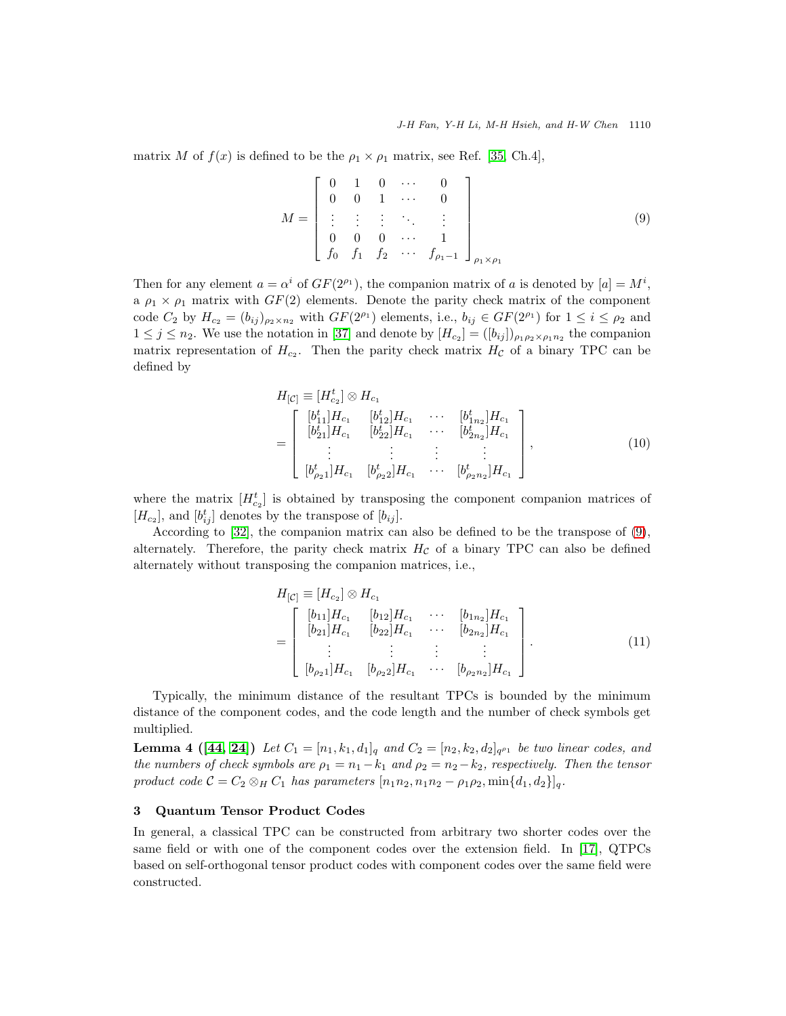matrix M of  $f(x)$  is defined to be the  $\rho_1 \times \rho_1$  matrix, see Ref. [\[35,](#page-17-15) Ch.4],

<span id="page-5-1"></span>
$$
M = \begin{bmatrix} 0 & 1 & 0 & \cdots & 0 \\ 0 & 0 & 1 & \cdots & 0 \\ \vdots & \vdots & \vdots & \ddots & \vdots \\ 0 & 0 & 0 & \cdots & 1 \\ f_0 & f_1 & f_2 & \cdots & f_{\rho_1-1} \end{bmatrix}_{\rho_1 \times \rho_1}
$$
 (9)

Then for any element  $a = \alpha^i$  of  $GF(2^{\rho_1})$ , the companion matrix of a is denoted by  $[a] = M^i$ , a  $\rho_1 \times \rho_1$  matrix with  $GF(2)$  elements. Denote the parity check matrix of the component code  $C_2$  by  $H_{c_2} = (b_{ij})_{\rho_2 \times n_2}$  with  $GF(2^{\rho_1})$  elements, i.e.,  $b_{ij} \in GF(2^{\rho_1})$  for  $1 \le i \le \rho_2$  and  $1 \leq j \leq n_2$ . We use the notation in [\[37\]](#page-17-7) and denote by  $[H_{c_2}] = ([b_{ij}])_{\rho_1 \rho_2 \times \rho_1 n_2}$  the companion matrix representation of  $H_{c_2}$ . Then the parity check matrix  $H_{\mathcal{C}}$  of a binary TPC can be defined by

<span id="page-5-3"></span>
$$
H_{[C]} = [H_{c_2}^t] \otimes H_{c_1}
$$
  
\n
$$
= \begin{bmatrix} [b_{11}^t] H_{c_1} & [b_{12}^t] H_{c_1} & \cdots & [b_{1n_2}^t] H_{c_1} \\ [b_{21}^t] H_{c_1} & [b_{22}^t] H_{c_1} & \cdots & [b_{2n_2}^t] H_{c_1} \\ \vdots & \vdots & \vdots & \vdots \\ [b_{\rho_2 1}^t] H_{c_1} & [b_{\rho_2 2}^t] H_{c_1} & \cdots & [b_{\rho_2 n_2}^t] H_{c_1} \end{bmatrix},
$$
\n(10)

where the matrix  $[H_{c_2}^t]$  is obtained by transposing the component companion matrices of  $[H_{c_2}]$ , and  $[b_{ij}^t]$  denotes by the transpose of  $[b_{ij}]$ .

According to [\[32\]](#page-17-16), the companion matrix can also be defined to be the transpose of [\(9\)](#page-5-1), alternately. Therefore, the parity check matrix  $H<sub>C</sub>$  of a binary TPC can also be defined alternately without transposing the companion matrices, i.e.,

<span id="page-5-4"></span>
$$
H_{[C]} \equiv [H_{c_2}] \otimes H_{c_1}
$$
\n
$$
= \begin{bmatrix}\n[b_{11}]H_{c_1} & [b_{12}]H_{c_1} & \cdots & [b_{1n_2}]H_{c_1} \\
[b_{21}]H_{c_1} & [b_{22}]H_{c_1} & \cdots & [b_{2n_2}]H_{c_1} \\
\vdots & \vdots & \vdots & \vdots \\
[b_{\rho_2 1}]H_{c_1} & [b_{\rho_2 2}]H_{c_1} & \cdots & [b_{\rho_2 n_2}]H_{c_1}\n\end{bmatrix}.
$$
\n(11)

Typically, the minimum distance of the resultant TPCs is bounded by the minimum distance of the component codes, and the code length and the number of check symbols get multiplied.

<span id="page-5-2"></span>**Lemma 4** ([\[44,](#page-17-3) [24\]](#page-17-5)) Let  $C_1 = [n_1, k_1, d_1]_q$  and  $C_2 = [n_2, k_2, d_2]_{q^{p_1}}$  be two linear codes, and the numbers of check symbols are  $\rho_1 = n_1 - k_1$  and  $\rho_2 = n_2 - k_2$ , respectively. Then the tensor product code  $C = C_2 \otimes_H C_1$  has parameters  $[n_1n_2, n_1n_2 - \rho_1\rho_2, \min\{d_1, d_2\}]_q$ .

## <span id="page-5-0"></span>3 Quantum Tensor Product Codes

<span id="page-5-5"></span>In general, a classical TPC can be constructed from arbitrary two shorter codes over the same field or with one of the component codes over the extension field. In [\[17\]](#page-16-14), QTPCs based on self-orthogonal tensor product codes with component codes over the same field were constructed.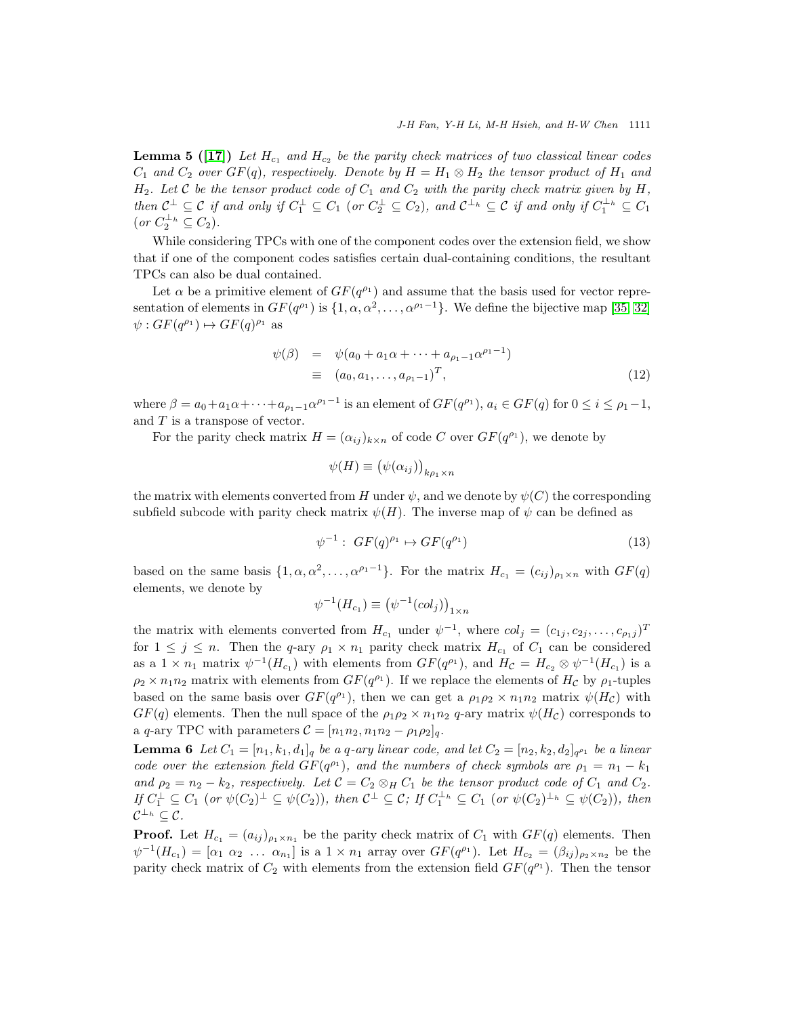**Lemma 5** ([\[17\]](#page-16-14)) Let  $H_{c_1}$  and  $H_{c_2}$  be the parity check matrices of two classical linear codes  $C_1$  and  $C_2$  over  $GF(q)$ , respectively. Denote by  $H = H_1 \otimes H_2$  the tensor product of  $H_1$  and  $H_2$ . Let C be the tensor product code of  $C_1$  and  $C_2$  with the parity check matrix given by H, then  $C^{\perp} \subseteq C$  if and only if  $C_1^{\perp} \subseteq C_1$  (or  $C_2^{\perp} \subseteq C_2$ ), and  $C^{\perp_h} \subseteq C$  if and only if  $C_1^{\perp_h} \subseteq C_1$  $(or C_2^{\perp_h} \subseteq C_2).$ 

While considering TPCs with one of the component codes over the extension field, we show that if one of the component codes satisfies certain dual-containing conditions, the resultant TPCs can also be dual contained.

Let  $\alpha$  be a primitive element of  $GF(q^{\rho_1})$  and assume that the basis used for vector representation of elements in  $GF(q^{\rho_1})$  is  $\{1, \alpha, \alpha^2, \dots, \alpha^{\rho_1-1}\}\$ . We define the bijective map [\[35,](#page-17-15) [32\]](#page-17-16)  $\psi: GF(q^{\rho_1}) \mapsto GF(q)^{\rho_1}$  as

$$
\psi(\beta) = \psi(a_0 + a_1\alpha + \dots + a_{\rho_1 - 1}\alpha^{\rho_1 - 1})
$$
  
\n
$$
\equiv (a_0, a_1, \dots, a_{\rho_1 - 1})^T,
$$
\n(12)

where  $\beta = a_0 + a_1 \alpha + \cdots + a_{\rho_1 - 1} \alpha^{\rho_1 - 1}$  is an element of  $GF(q^{\rho_1})$ ,  $a_i \in GF(q)$  for  $0 \le i \le \rho_1 - 1$ , and  $T$  is a transpose of vector.

For the parity check matrix  $H = (\alpha_{ij})_{k \times n}$  of code C over  $GF(q^{\rho_1})$ , we denote by

$$
\psi(H) \equiv (\psi(\alpha_{ij}))_{k\rho_1 \times n}
$$

the matrix with elements converted from H under  $\psi$ , and we denote by  $\psi(C)$  the corresponding subfield subcode with parity check matrix  $\psi(H)$ . The inverse map of  $\psi$  can be defined as

$$
\psi^{-1}: GF(q)^{\rho_1} \mapsto GF(q^{\rho_1}) \tag{13}
$$

based on the same basis  $\{1, \alpha, \alpha^2, \dots, \alpha^{\rho_1-1}\}\.$  For the matrix  $H_{c_1} = (c_{ij})_{\rho_1 \times n}$  with  $GF(q)$ elements, we denote by

$$
\psi^{-1}(H_{c_1}) \equiv (\psi^{-1}(col_j))_{1 \times n}
$$

the matrix with elements converted from  $H_{c_1}$  under  $\psi^{-1}$ , where  $col_j = (c_{1j}, c_{2j}, \ldots, c_{\rho_{1}j})^T$ for  $1 \leq j \leq n$ . Then the q-ary  $\rho_1 \times n_1$  parity check matrix  $H_{c_1}$  of  $C_1$  can be considered as a  $1 \times n_1$  matrix  $\psi^{-1}(H_{c_1})$  with elements from  $GF(q^{\rho_1})$ , and  $H_{\mathcal{C}} = H_{c_2} \otimes \psi^{-1}(H_{c_1})$  is a  $\rho_2 \times n_1 n_2$  matrix with elements from  $GF(q^{\rho_1})$ . If we replace the elements of  $H_c$  by  $\rho_1$ -tuples based on the same basis over  $GF(q^{\rho_1})$ , then we can get a  $\rho_1 \rho_2 \times n_1 n_2$  matrix  $\psi(H_{\mathcal{C}})$  with  $GF(q)$  elements. Then the null space of the  $\rho_1 \rho_2 \times n_1 n_2$  q-ary matrix  $\psi(H_{\mathcal{C}})$  corresponds to a q-ary TPC with parameters  $\mathcal{C} = [n_1 n_2, n_1 n_2 - \rho_1 \rho_2]_q$ .

<span id="page-6-0"></span>**Lemma 6** Let  $C_1 = [n_1, k_1, d_1]_q$  be a q-ary linear code, and let  $C_2 = [n_2, k_2, d_2]_{q^{p_1}}$  be a linear code over the extension field  $GF(q^{\rho_1})$ , and the numbers of check symbols are  $\rho_1 = n_1 - k_1$ and  $\rho_2 = n_2 - k_2$ , respectively. Let  $C = C_2 \otimes_H C_1$  be the tensor product code of  $C_1$  and  $C_2$ . If  $C_1^{\perp} \subseteq C_1$  (or  $\psi(C_2)^{\perp} \subseteq \psi(C_2)$ ), then  $C^{\perp} \subseteq C$ ; If  $C_1^{\perp_h} \subseteq C_1$  (or  $\psi(C_2)^{\perp_h} \subseteq \psi(C_2)$ ), then  $\mathcal{C}^{\perp_h} \subseteq \mathcal{C}.$ 

**Proof.** Let  $H_{c_1} = (a_{ij})_{\rho_1 \times n_1}$  be the parity check matrix of  $C_1$  with  $GF(q)$  elements. Then  $\psi^{-1}(H_{c_1}) = [\alpha_1 \ \alpha_2 \ \dots \ \alpha_{n_1}]$  is a  $1 \times n_1$  array over  $GF(q^{\rho_1})$ . Let  $H_{c_2} = (\beta_{ij})_{\rho_2 \times n_2}$  be the parity check matrix of  $C_2$  with elements from the extension field  $GF(q^{\rho_1})$ . Then the tensor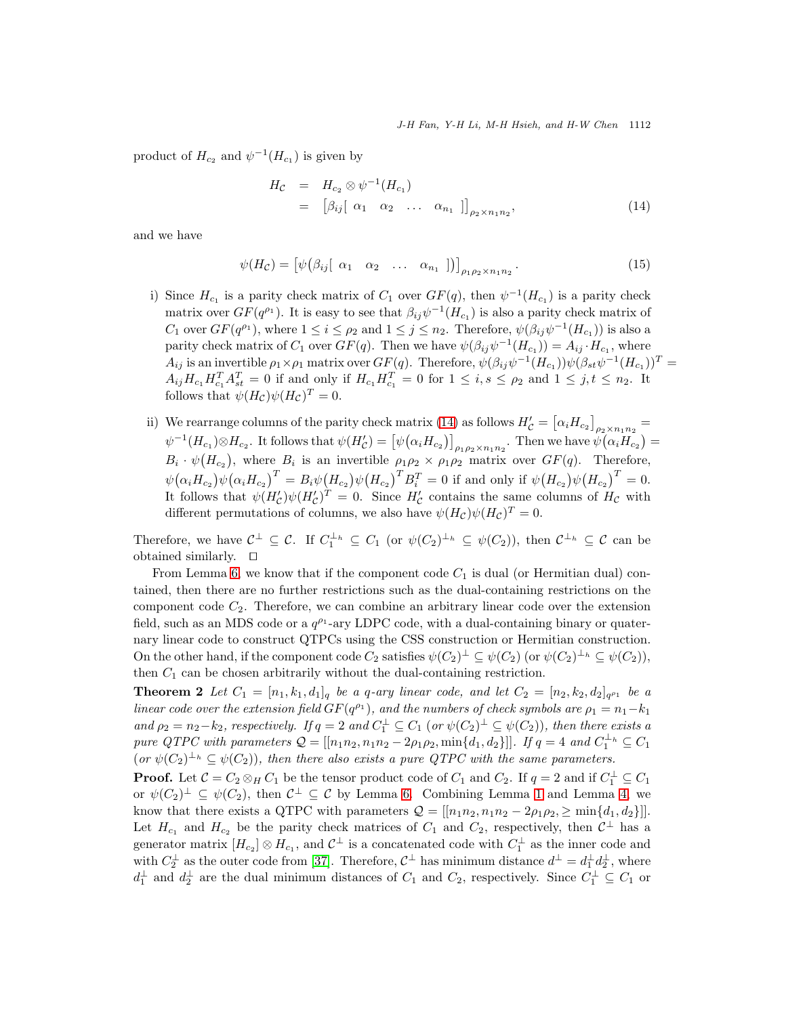product of  $H_{c_2}$  and  $\psi^{-1}(H_{c_1})$  is given by

<span id="page-7-0"></span>
$$
H_C = H_{c_2} \otimes \psi^{-1}(H_{c_1})
$$
  
=  $\left[\beta_{ij}\right[\alpha_1 \alpha_2 \dots \alpha_{n_1}]\right]_{\rho_2 \times n_1 n_2}$ , (14)

and we have

$$
\psi(H_{\mathcal{C}}) = \left[ \psi(\beta_{ij} [\alpha_1 \alpha_2 \dots \alpha_{n_1}]) \right]_{\rho_1 \rho_2 \times n_1 n_2}.
$$
\n(15)

- i) Since  $H_{c_1}$  is a parity check matrix of  $C_1$  over  $GF(q)$ , then  $\psi^{-1}(H_{c_1})$  is a parity check matrix over  $GF(q^{\rho_1})$ . It is easy to see that  $\beta_{ij}\psi^{-1}(H_{c_1})$  is also a parity check matrix of  $C_1$  over  $GF(q^{\rho_1})$ , where  $1 \leq i \leq \rho_2$  and  $1 \leq j \leq n_2$ . Therefore,  $\psi(\beta_{ij}\psi^{-1}(H_{c_1}))$  is also a parity check matrix of  $C_1$  over  $GF(q)$ . Then we have  $\psi(\beta_{ij}\psi^{-1}(H_{c_1})) = A_{ij} \cdot H_{c_1}$ , where  $A_{ij}$  is an invertible  $\rho_1 \times \rho_1$  matrix over  $GF(q)$ . Therefore,  $\psi(\beta_{ij}\psi^{-1}(H_{c_1}))\psi(\beta_{st}\psi^{-1}(H_{c_1}))^T =$  $A_{ij}H_{c_1}H_{c_1}^T A_{st}^T = 0$  if and only if  $H_{c_1}H_{c_1}^T = 0$  for  $1 \le i, s \le \rho_2$  and  $1 \le j, t \le n_2$ . It follows that  $\psi(H_{\mathcal{C}})\psi(H_{\mathcal{C}})^{T}=0.$
- ii) We rearrange columns of the parity check matrix [\(14\)](#page-7-0) as follows  $H'_{\mathcal{C}} = [\alpha_i H_{c_2}]_{\rho_2 \times n_1 n_2} =$  $\psi^{-1}(H_{c_1}) \otimes H_{c_2}$ . It follows that  $\psi(H'_{\mathcal{C}}) = \big[\psi(\alpha_i H_{c_2})\big]_{\rho_1 \rho_2 \times n_1 n_2}$ . Then we have  $\psi(\alpha_i H_{c_2}) =$  $B_i \cdot \psi(H_{c_2}),$  where  $B_i$  is an invertible  $\rho_1 \rho_2 \times \rho_1 \rho_2$  matrix over  $GF(q)$ . Therefore,  $\psi(\alpha_i H_{c_2}) \psi(\alpha_i H_{c_2})^T = B_i \psi(H_{c_2}) \psi(H_{c_2})^T B_i^T = 0$  if and only if  $\psi(H_{c_2}) \psi(H_{c_2})^T = 0$ . It follows that  $\psi(H'_{\mathcal{C}})\psi(H'_{\mathcal{C}})^T=0$ . Since  $H'_{\mathcal{C}}$  contains the same columns of  $H_{\mathcal{C}}$  with different permutations of columns, we also have  $\psi(H_{\mathcal{C}})\psi(H_{\mathcal{C}})^{T}=0$ .

Therefore, we have  $C^{\perp} \subseteq C$ . If  $C_1^{\perp_h} \subseteq C_1$  (or  $\psi(C_2)^{\perp_h} \subseteq \psi(C_2)$ ), then  $C^{\perp_h} \subseteq C$  can be obtained similarly. ⊓⊔

From Lemma [6,](#page-6-0) we know that if the component code  $C_1$  is dual (or Hermitian dual) contained, then there are no further restrictions such as the dual-containing restrictions on the component code  $C_2$ . Therefore, we can combine an arbitrary linear code over the extension field, such as an MDS code or a  $q^{\rho_1}$ -ary LDPC code, with a dual-containing binary or quaternary linear code to construct QTPCs using the CSS construction or Hermitian construction. On the other hand, if the component code  $C_2$  satisfies  $\psi(C_2)^{\perp} \subseteq \psi(C_2)$  (or  $\psi(C_2)^{\perp_h} \subseteq \psi(C_2)$ ), then  $C_1$  can be chosen arbitrarily without the dual-containing restriction.

<span id="page-7-1"></span>**Theorem 2** Let  $C_1 = [n_1, k_1, d_1]_q$  be a q-ary linear code, and let  $C_2 = [n_2, k_2, d_2]_{q^{\rho_1}}$  be a linear code over the extension field  $GF(q^{\rho_1})$ , and the numbers of check symbols are  $\rho_1 = n_1 - k_1$ and  $\rho_2 = n_2 - k_2$ , respectively. If  $q = 2$  and  $C_1^{\perp} \subseteq C_1$  (or  $\psi(C_2)^{\perp} \subseteq \psi(C_2)$ ), then there exists a pure QTPC with parameters  $Q = [[n_1n_2, n_1n_2 - 2\rho_1\rho_2, \min\{d_1, d_2\}]]$ . If  $q = 4$  and  $C_1^{\perp_h} \subseteq C_1$  $(or \psi(C_2)^{\perp_h} \subseteq \psi(C_2)),$  then there also exists a pure QTPC with the same parameters.

**Proof.** Let  $C = C_2 \otimes_H C_1$  be the tensor product code of  $C_1$  and  $C_2$ . If  $q = 2$  and if  $C_1^{\perp} \subseteq C_1$ or  $\psi(C_2)^{\perp} \subseteq \psi(C_2)$ , then  $\mathcal{C}^{\perp} \subseteq \mathcal{C}$  by Lemma [6.](#page-6-0) Combining Lemma [1](#page-3-1) and Lemma [4,](#page-5-2) we know that there exists a QTPC with parameters  $Q = [[n_1n_2, n_1n_2 - 2\rho_1\rho_2, \geq \min\{d_1, d_2\}]]$ . Let  $H_{c_1}$  and  $H_{c_2}$  be the parity check matrices of  $C_1$  and  $C_2$ , respectively, then  $C^{\perp}$  has a generator matrix  $[H_{c_2}] \otimes H_{c_1}$ , and  $C^{\perp}$  is a concatenated code with  $C_1^{\perp}$  as the inner code and with  $C_2^{\perp}$  as the outer code from [\[37\]](#page-17-7). Therefore,  $C^{\perp}$  has minimum distance  $d^{\perp} = d_1^{\perp} d_2^{\perp}$ , where  $d_1^{\perp}$  and  $d_2^{\perp}$  are the dual minimum distances of  $C_1$  and  $C_2$ , respectively. Since  $C_1^{\perp} \subseteq C_1$  or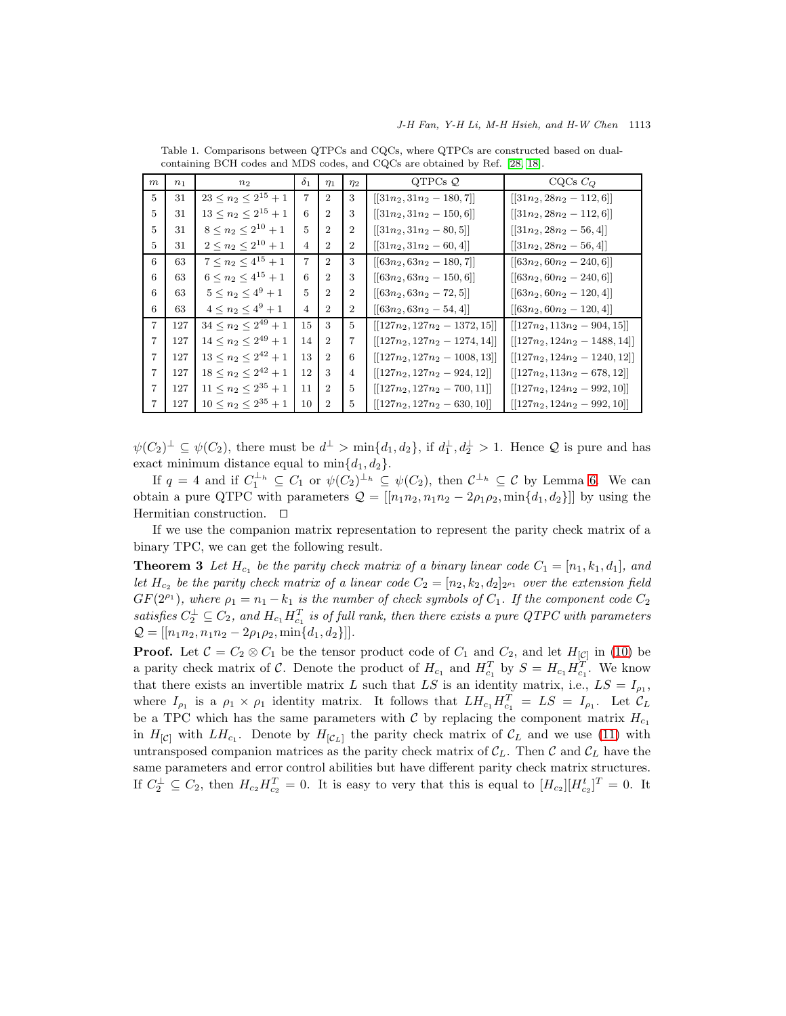| $\boldsymbol{m}$ | n <sub>1</sub> | $n_2$                         | $\delta_1$     | $\eta_1$       | $\eta_2$       | QTPCs $\mathcal{Q}$             | $CQCs$ $CO$                                           |
|------------------|----------------|-------------------------------|----------------|----------------|----------------|---------------------------------|-------------------------------------------------------|
| $\overline{5}$   | 31             | $23 \leq n_2 \leq 2^{15} + 1$ | $\overline{7}$ | $\overline{2}$ | 3              | $[[31n_2, 31n_2 - 180, 7]]$     | $[[31n_2, 28n_2 - 112, 6]]$                           |
| 5                | 31             | $13 \leq n_2 \leq 2^{15} + 1$ | 6              | $\overline{2}$ | 3              | $[[31n_2, 31n_2 - 150, 6]]$     | $[[31n_2, 28n_2 - 112, 6]]$                           |
| 5                | 31             | $8 \leq n_2 \leq 2^{10} + 1$  | $\overline{5}$ | $\overline{2}$ | $\overline{2}$ | $[31n_2, 31n_2 - 80, 5]$        | $[31n_2, 28n_2 - 56, 4]$                              |
| 5                | 31             | $2\leq n_2\leq 2^{10}+1$      | 4              | $\overline{2}$ | $\overline{2}$ | $[[31n_2, 31n_2 - 60, 4]]$      | $[[31n_2, 28n_2 - 56, 4]]$                            |
| 6                | 63             | $7 \leq n_2 \leq 4^{15} + 1$  | $\overline{7}$ | $\overline{2}$ | 3              | $[[63n_2, 63n_2 - 180, 7]]$     | $[[63n_2, 60n_2 - 240, 6]]$                           |
| 6                | 63             | $6 \leq n_2 \leq 4^{15} + 1$  | 6              | $\overline{2}$ | 3              | $[[63n_2, 63n_2 - 150, 6]]$     | $[[63n_2, 60n_2 - 240, 6]]$                           |
| 6                | 63             | $5 \leq n_2 \leq 4^9 + 1$     | 5              | $\overline{2}$ | $\overline{2}$ | $[[63n_2, 63n_2 - 72, 5]]$      | $[[63n_2, 60n_2 - 120, 4]]$                           |
| 6                | 63             | $4 \leq n_2 \leq 4^9 + 1$     | 4              | $\overline{2}$ | $\overline{2}$ | $[[63n_2, 63n_2 - 54, 4]]$      | $\left[ \left[ 63n_2, 60n_2 - 120, 4 \right] \right]$ |
| $\overline{7}$   | 127            | $34\leq n_2\leq 2^{49}+1$     | 15             | 3              | $\overline{5}$ | $[[127n_2, 127n_2 - 1372, 15]]$ | $[[127n_2, 113n_2 - 904, 15]]$                        |
| 7                | 127            | $14\leq n_2\leq 2^{49}+1$     | 14             | $\overline{2}$ | $\overline{7}$ | $[[127n_2, 127n_2 - 1274, 14]]$ | $[[127n_2, 124n_2 - 1488, 14]]$                       |
| $\overline{7}$   | 127            | $13 \leq n_2 \leq 2^{42} + 1$ | 13             | $\overline{2}$ | 6              | $[[127n_2, 127n_2 - 1008, 13]]$ | $[[127n_2, 124n_2 - 1240, 12]]$                       |
| $\overline{7}$   | 127            | $18 \leq n_2 \leq 2^{42} + 1$ | 12             | 3              | $\overline{4}$ | $[[127n_2, 127n_2 - 924, 12]]$  | $[[127n_2, 113n_2 - 678, 12]]$                        |
| $\overline{7}$   | 127            | $11 \leq n_2 \leq 2^{35} + 1$ | 11             | $\overline{2}$ | 5              | $[[127n_2, 127n_2 - 700, 11]]$  | $[[127n_2, 124n_2 - 992, 10]]$                        |
| $\overline{7}$   | 127            | $10 \leq n_2 \leq 2^{35} + 1$ | 10             | $\overline{2}$ | 5              | $[[127n_2, 127n_2 - 630, 10]]$  | $[[127n_2, 124n_2 - 992, 10]]$                        |

<span id="page-8-1"></span>Table 1. Comparisons between QTPCs and CQCs, where QTPCs are constructed based on dualcontaining BCH codes and MDS codes, and CQCs are obtained by Ref. [\[28,](#page-17-9) [18\]](#page-16-16).

 $\psi(C_2)^\perp \subseteq \psi(C_2)$ , there must be  $d^\perp > \min\{d_1, d_2\}$ , if  $d_1^\perp, d_2^\perp > 1$ . Hence  $\mathcal Q$  is pure and has exact minimum distance equal to  $\min\{d_1, d_2\}.$ 

If  $q = 4$  and if  $C_1^{\perp_h} \subseteq C_1$  or  $\psi(C_2)^{\perp_h} \subseteq \psi(C_2)$ , then  $C^{\perp_h} \subseteq C$  by Lemma [6.](#page-6-0) We can obtain a pure QTPC with parameters  $\mathcal{Q} = [[n_1n_2, n_1n_2 - 2\rho_1\rho_2, \min\{d_1, d_2\}]$  by using the Hermitian construction. ⊓⊔

<span id="page-8-0"></span>If we use the companion matrix representation to represent the parity check matrix of a binary TPC, we can get the following result.

**Theorem 3** Let  $H_{c_1}$  be the parity check matrix of a binary linear code  $C_1 = [n_1, k_1, d_1]$ , and let  $H_{c_2}$  be the parity check matrix of a linear code  $C_2 = [n_2, k_2, d_2]_{2^{p_1}}$  over the extension field  $GF(2^{\rho_1})$ , where  $\rho_1 = n_1 - k_1$  is the number of check symbols of  $C_1$ . If the component code  $C_2$ satisfies  $C_2^{\perp} \subseteq C_2$ , and  $H_{c_1} H_{c_1}^T$  is of full rank, then there exists a pure QTPC with parameters  $Q = [[n_1n_2, n_1n_2 - 2\rho_1\rho_2, \min\{d_1, d_2\}]].$ 

**Proof.** Let  $C = C_2 \otimes C_1$  be the tensor product code of  $C_1$  and  $C_2$ , and let  $H_{[C]}$  in [\(10\)](#page-5-3) be a parity check matrix of C. Denote the product of  $H_{c_1}$  and  $H_{c_1}^T$  by  $S = H_{c_1} H_{c_1}^T$ . We know that there exists an invertible matrix L such that LS is an identity matrix, i.e.,  $LS = I_{\rho_1}$ , where  $I_{\rho_1}$  is a  $\rho_1 \times \rho_1$  identity matrix. It follows that  $LH_{c_1}H_{c_1}^T = LS = I_{\rho_1}$ . Let  $\mathcal{C}_L$ be a TPC which has the same parameters with  $\mathcal C$  by replacing the component matrix  $H_{c_1}$ in  $H_{\lbrack C\rbrack}$  with  $LH_{c_1}$ . Denote by  $H_{\lbrack C_L\rbrack}$  the parity check matrix of  $\mathcal{C}_L$  and we use [\(11\)](#page-5-4) with untransposed companion matrices as the parity check matrix of  $C_L$ . Then C and  $C_L$  have the same parameters and error control abilities but have different parity check matrix structures. If  $C_2^{\perp} \subseteq C_2$ , then  $H_{c_2}H_{c_2}^T = 0$ . It is easy to very that this is equal to  $[H_{c_2}][H_{c_2}^t]^T = 0$ . It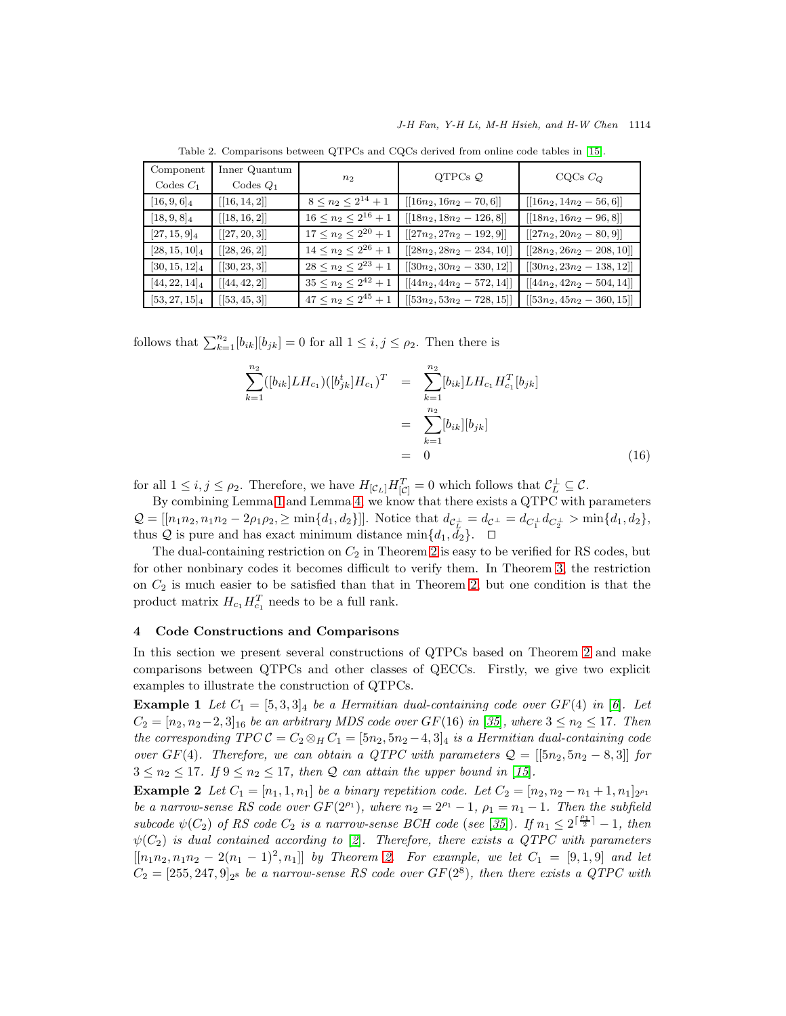<span id="page-9-1"></span>

| Component<br>Codes $C_1$ | Inner Quantum<br>Codes $Q_1$ | $n_2$                         | QTPCs $\mathcal Q$           | $CQCs$ $C_Q$                 |
|--------------------------|------------------------------|-------------------------------|------------------------------|------------------------------|
| $[16, 9, 6]_4$           | [[16, 14, 2]]                | $8 \leq n_2 \leq 2^{14}+1$    | $[[16n_2, 16n_2 - 70, 6]]$   | $[[16n_2, 14n_2 - 56, 6]]$   |
| $[18, 9, 8]_4$           | [[18, 16, 2]]                | $16 \leq n_2 \leq 2^{16} + 1$ | $[[18n_2, 18n_2 - 126, 8]]$  | $[[18n_2, 16n_2 - 96, 8]]$   |
| $[27, 15, 9]_4$          | [[27, 20, 3]]                | $17 \leq n_2 \leq 2^{20} + 1$ | $[[27n_2, 27n_2 - 192, 9]]$  | $[[27n_2, 20n_2 - 80, 9]]$   |
| $[28, 15, 10]_4$         | [[28, 26, 2]]                | $14 \leq n_2 \leq 2^{26} + 1$ | $[[28n_2, 28n_2 - 234, 10]]$ | $[[28n_2, 26n_2 - 208, 10]]$ |
| $[30, 15, 12]_4$         | [[30, 23, 3]]                | $28 \leq n_2 \leq 2^{23} + 1$ | $[[30n_2, 30n_2 - 330, 12]]$ | $[[30n_2, 23n_2 - 138, 12]]$ |
| $[44, 22, 14]_4$         | [[44, 42, 2]]                | $35 \leq n_2 \leq 2^{42} + 1$ | $[[44n_2, 44n_2 - 572, 14]]$ | $[[44n_2, 42n_2 - 504, 14]]$ |
| $[53,27,15]_4$           | [[53, 45, 3]]                | $47 \leq n_2 \leq 2^{45} + 1$ | $[[53n_2, 53n_2 - 728, 15]]$ | $[[53n_2, 45n_2 - 360, 15]]$ |

Table 2. Comparisons between QTPCs and CQCs derived from online code tables in [\[15\]](#page-16-20).

follows that  $\sum_{k=1}^{n_2} [b_{ik}][b_{jk}] = 0$  for all  $1 \le i, j \le \rho_2$ . Then there is

$$
\sum_{k=1}^{n_2} ([b_{ik}] L H_{c_1}) ([b_{jk}^t] H_{c_1})^T = \sum_{k=1}^{n_2} [b_{ik}] L H_{c_1} H_{c_1}^T [b_{jk}]
$$
  

$$
= \sum_{k=1}^{n_2} [b_{ik}] [b_{jk}]
$$
  

$$
= 0
$$
 (16)

for all  $1 \leq i, j \leq \rho_2$ . Therefore, we have  $H_{[C_L]} H_{[C]}^T = 0$  which follows that  $C_L^{\perp} \subseteq C$ .

By combining Lemma [1](#page-3-1) and Lemma [4,](#page-5-2) we know that there exists a QTPC with parameters  $Q = [[n_1n_2, n_1n_2 - 2\rho_1\rho_2, \ge \min\{d_1, d_2\}]]$ . Notice that  $d_{\mathcal{C}_L^{\perp}} = d_{\mathcal{C}^{\perp}} = d_{C_1^{\perp}}d_{C_2^{\perp}} > \min\{d_1, d_2\},$ thus Q is pure and has exact minimum distance min $\{d_1, \bar{d}_2\}$ . □

The dual-containing restriction on  $C_2$  in Theorem [2](#page-7-1) is easy to be verified for RS codes, but for other nonbinary codes it becomes difficult to verify them. In Theorem [3,](#page-8-0) the restriction on  $C_2$  is much easier to be satisfied than that in Theorem [2,](#page-7-1) but one condition is that the product matrix  $H_{c_1} H_{c_1}^T$  needs to be a full rank.

## <span id="page-9-0"></span>4 Code Constructions and Comparisons

In this section we present several constructions of QTPCs based on Theorem [2](#page-7-1) and make comparisons between QTPCs and other classes of QECCs. Firstly, we give two explicit examples to illustrate the construction of QTPCs.

**Example 1** Let  $C_1 = [5, 3, 3]_4$  be a Hermitian dual-containing code over  $GF(4)$  in [[6](#page-16-1)]. Let  $C_2 = [n_2, n_2-2, 3]_{16}$  be an arbitrary MDS code over  $GF(16)$  in [[35](#page-17-15)], where  $3 \leq n_2 \leq 17$ . Then the corresponding  $TPC C = C_2 \otimes_H C_1 = [5n_2, 5n_2 - 4, 3]_4$  is a Hermitian dual-containing code over  $GF(4)$ . Therefore, we can obtain a QTPC with parameters  $\mathcal{Q} = [[5n_2, 5n_2 - 8, 3]]$  for  $3 \leq n_2 \leq 17$ . If  $9 \leq n_2 \leq 17$ , then Q can attain the upper bound in [[15](#page-16-20)].

**Example 2** Let  $C_1 = [n_1, 1, n_1]$  be a binary repetition code. Let  $C_2 = [n_2, n_2 - n_1 + 1, n_1]_{2^{\rho_1}}$ be a narrow-sense RS code over  $GF(2^{\rho_1})$ , where  $n_2 = 2^{\rho_1} - 1$ ,  $\rho_1 = n_1 - 1$ . Then the subfield subcode  $\psi(C_2)$  of RS code  $C_2$  is a narrow-sense BCH code (see [[35](#page-17-15)]). If  $n_1 \leq 2^{\lceil \frac{\rho_1}{2} \rceil} - 1$ , then  $\psi(C_2)$  $\psi(C_2)$  $\psi(C_2)$  is dual contained according to [2]. Therefore, there exists a QTPC with parameters  $[[n_1n_2, n_1n_2 - 2(n_1 - 1)^2, n_1]]$  by Theorem [2.](#page-7-1) For example, we let  $C_1 = [9, 1, 9]$  and let  $C_2 = [255, 247, 9]_{2^8}$  be a narrow-sense RS code over  $GF(2^8)$ , then there exists a QTPC with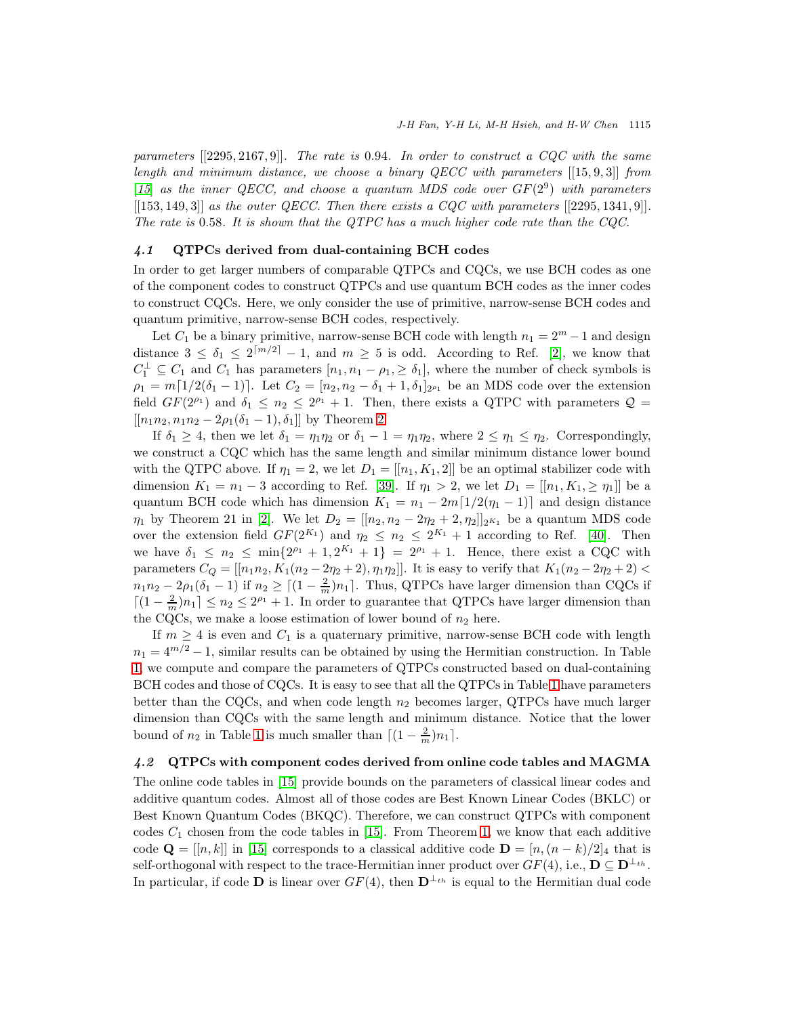parameters  $[[2295, 2167, 9]]$ . The rate is 0.94. In order to construct a CQC with the same length and minimum distance, we choose a binary QECC with parameters  $[[15, 9, 3]]$  from [[15](#page-16-20)] as the inner QECC, and choose a quantum MDS code over  $GF(2^9)$  with parameters  $[[153, 149, 3]]$  as the outer QECC. Then there exists a CQC with parameters  $[[2295, 1341, 9]].$ The rate is 0.58. It is shown that the QTPC has a much higher code rate than the CQC.

#### 4.1 QTPCs derived from dual-containing BCH codes

In order to get larger numbers of comparable QTPCs and CQCs, we use BCH codes as one of the component codes to construct QTPCs and use quantum BCH codes as the inner codes to construct CQCs. Here, we only consider the use of primitive, narrow-sense BCH codes and quantum primitive, narrow-sense BCH codes, respectively.

Let  $C_1$  be a binary primitive, narrow-sense BCH code with length  $n_1 = 2^m - 1$  and design distance  $3 \leq \delta_1 \leq 2^{\lceil m/2 \rceil} - 1$ , and  $m \geq 5$  is odd. According to Ref. [\[2\]](#page-16-17), we know that  $C_1^{\perp} \subseteq C_1$  and  $C_1$  has parameters  $[n_1, n_1 - \rho_1, \ge \delta_1]$ , where the number of check symbols is  $\rho_1 = m[1/2(\delta_1 - 1)].$  Let  $C_2 = [n_2, n_2 - \delta_1 + 1, \delta_1]_{2^{\rho_1}}$  be an MDS code over the extension field  $GF(2^{\rho_1})$  and  $\delta_1 \leq n_2 \leq 2^{\rho_1}+1$ . Then, there exists a QTPC with parameters  $\mathcal{Q} =$  $[[n_1n_2, n_1n_2 - 2\rho_1(\delta_1 - 1), \delta_1]]$  by Theorem [2.](#page-7-1)

If  $\delta_1 \geq 4$ , then we let  $\delta_1 = \eta_1 \eta_2$  or  $\delta_1 - 1 = \eta_1 \eta_2$ , where  $2 \leq \eta_1 \leq \eta_2$ . Correspondingly, we construct a CQC which has the same length and similar minimum distance lower bound with the QTPC above. If  $\eta_1 = 2$ , we let  $D_1 = [[n_1, K_1, 2]]$  be an optimal stabilizer code with dimension  $K_1 = n_1 - 3$  according to Ref. [\[39\]](#page-17-17). If  $\eta_1 > 2$ , we let  $D_1 = [[n_1, K_1, \geq \eta_1]]$  be a quantum BCH code which has dimension  $K_1 = n_1 - 2m[1/2(\eta_1 - 1)]$  and design distance  $\eta_1$  by Theorem 21 in [\[2\]](#page-16-17). We let  $D_2 = [[n_2, n_2 - 2n_2 + 2, n_2]]_{2^{K_1}}$  be a quantum MDS code over the extension field  $GF(2^{K_1})$  and  $\eta_2 \leq n_2 \leq 2^{K_1}+1$  according to Ref. [\[40\]](#page-17-18). Then we have  $\delta_1 \leq n_2 \leq \min\{2^{\rho_1}+1, 2^{K_1}+1\} = 2^{\rho_1}+1$ . Hence, there exist a CQC with parameters  $C_Q = [[n_{1}n_{2}, K_1(n_{2} - 2n_{2} + 2), n_{1}n_{2}]]$ . It is easy to verify that  $K_1(n_{2} - 2n_{2} + 2)$  $n_1n_2 - 2\rho_1(\delta_1 - 1)$  if  $n_2 \ge [(1 - \frac{2}{m})n_1]$ . Thus, QTPCs have larger dimension than CQCs if  $\lceil (1 - \frac{2}{m})n_1 \rceil \leq n_2 \leq 2^{\rho_1} + 1$ . In order to guarantee that QTPCs have larger dimension than the CQCs, we make a loose estimation of lower bound of  $n_2$  here.

If  $m \geq 4$  is even and  $C_1$  is a quaternary primitive, narrow-sense BCH code with length  $n_1 = 4^{m/2} - 1$ , similar results can be obtained by using the Hermitian construction. In Table [1,](#page-8-1) we compute and compare the parameters of QTPCs constructed based on dual-containing BCH codes and those of CQCs. It is easy to see that all the QTPCs in Table [1](#page-8-1) have parameters better than the CQCs, and when code length  $n_2$  becomes larger, QTPCs have much larger dimension than CQCs with the same length and minimum distance. Notice that the lower bound of  $n_2$  in Table [1](#page-8-1) is much smaller than  $\lceil (1 - \frac{2}{m})n_1 \rceil$ .

## 4.2 QTPCs with component codes derived from online code tables and MAGMA

The online code tables in [\[15\]](#page-16-20) provide bounds on the parameters of classical linear codes and additive quantum codes. Almost all of those codes are Best Known Linear Codes (BKLC) or Best Known Quantum Codes (BKQC). Therefore, we can construct QTPCs with component codes  $C_1$  chosen from the code tables in [\[15\]](#page-16-20). From Theorem [1,](#page-3-0) we know that each additive code  $\mathbf{Q} = [[n, k]]$  in [\[15\]](#page-16-20) corresponds to a classical additive code  $\mathbf{D} = [n,(n-k)/2]_4$  that is self-orthogonal with respect to the trace-Hermitian inner product over  $GF(4)$ , i.e.,  $\mathbf{D} \subseteq \mathbf{D}^{\perp_{th}}$ . In particular, if code **D** is linear over  $GF(4)$ , then  $\mathbf{D}^{\perp_{th}}$  is equal to the Hermitian dual code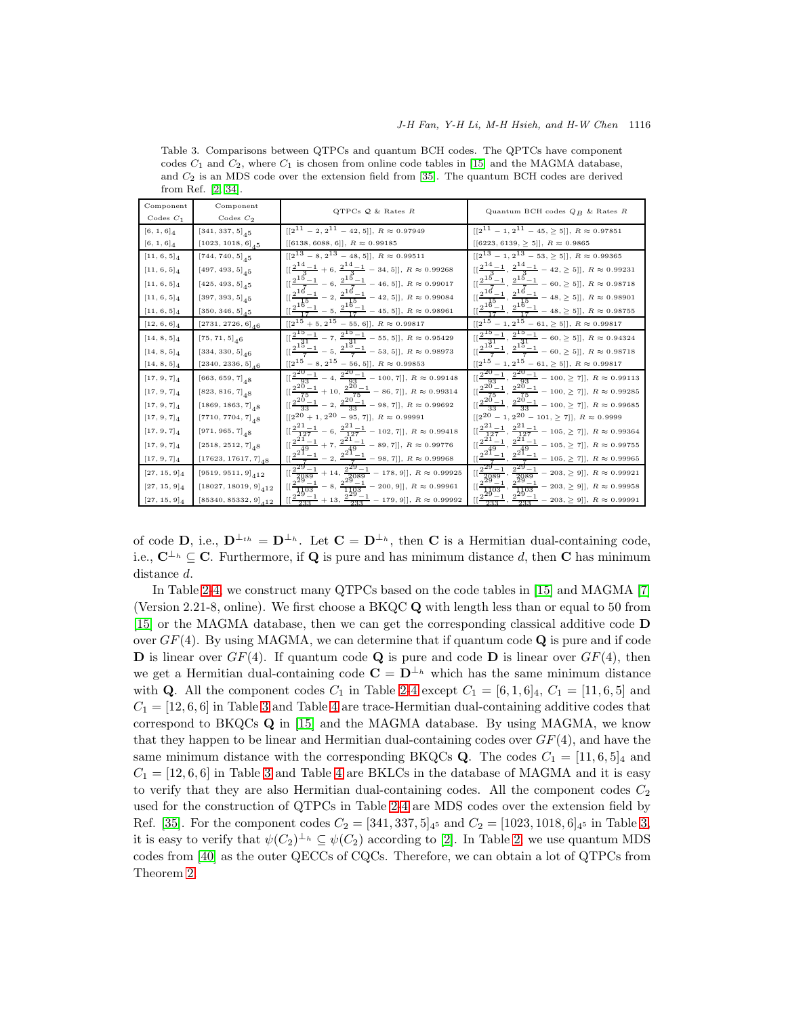| Component       | Component                               | QTPCs $Q$ & Rates $R$                                                                                            | Quantum BCH codes $Q_B$ & Rates R                                                                        |
|-----------------|-----------------------------------------|------------------------------------------------------------------------------------------------------------------|----------------------------------------------------------------------------------------------------------|
| Codes $C_1$     | Codes $C_2$                             |                                                                                                                  |                                                                                                          |
| $[6, 1, 6]_4$   | $[341, 337, 5]_{45}$                    | $[[2^{11} - 2, 2^{11} - 42, 5]], R \approx 0.97949$                                                              | $[[2^{11} - 1, 2^{11} - 45, \ge 5]], R \approx 0.97851$                                                  |
| $[6, 1, 6]_4$   | $\left[ 1023,\, 1018,\, 6 \right]_{4}5$ | $[[6138, 6088, 6]], R \approx 0.99185$                                                                           | $[[6223, 6139, \, \geq \, 5]], \; R \, \approx \, 0.9865$                                                |
| $[11, 6, 5]_4$  | $[744, 740, 5]$ <sub>45</sub>           | $[[2^{13} - 8, 2^{13} - 48, 5]], R \approx 0.99511$                                                              | $[2^{13} - 1, 2^{13} - 53, \ge 5]$ , $R \approx 0.99365$                                                 |
| $[11, 6, 5]_4$  | $[497, 493, 5]$ <sub>45</sub>           | $[[\frac{2^{14}-1}{3}+6,\frac{2^{14}-1}{3}-34,5]], R \approx 0.99268$                                            | $[[\frac{2^{14}-1}{2},\frac{2^{14}-1}{3}-42,\geq5]],\,R\approx0.99231$                                   |
| $[11, 6, 5]_4$  | $[425, 493, 5]$ <sub>45</sub>           | $[[\frac{2^{15}-1}{7}-6,\frac{2^{15}-1}{7}-46,5]], R \approx 0.99017$                                            | $[[\frac{2^{15}-1}{7}, \frac{2^{15}-1}{7} - 60, \geq 5]], R \approx 0.98718$                             |
| $[11, 6, 5]_4$  | $[397, 393, 5]_{45}$                    | $[[\frac{2^{16}-1}{15}-2,\frac{2^{16}-1}{15}-42,5]], R \approx 0.99084$                                          | $[[\frac{2^{16}-1}{15}, \frac{2^{16}-1}{15} - 48, \geq 5]], R \approx 0.98901$                           |
| $[11, 6, 5]_4$  | $[350, 346, 5]_{45}$                    | $[[\frac{2^{16}-1}{17}-5,\frac{2^{16}-1}{17}-45,5]], R \approx 0.98961$                                          | $[[\frac{2^{16}-1}{17}, \frac{2^{16}-1}{17} - 48, \geq 5]], R \approx 0.98755$                           |
| $[12, 6, 6]_4$  | $[2731, 2726, 6]_{46}$                  | $\sqrt{[2^{15}+5,2^{15}-55,6]}$ , $R \approx 0.99817$                                                            | $\overline{[[2^{15}-1,2^{15}-61,\geq 5]],}$ $R\approx 0.99817$                                           |
| $[14, 8, 5]_4$  | $[75, 71, 5]$ <sub>46</sub>             | $[[\frac{2^{15}-1}{31}-7,\frac{2^{15}-1}{31}-55,5]], R \approx 0.95429$                                          | $\frac{[2^{15}-1}{31}, \frac{2^{15}-1}{31} - 60, \geq 5]$ , $R \approx 0.94324$                          |
| $[14, 8, 5]_4$  | $[334, 330, 5]_{46}$                    | $[[\frac{2^{15}-1}{7}-5,\frac{2^{15}-1}{7}-53,5]], R \approx 0.98973$                                            | $[[\frac{2^{15}-1}{7},\frac{2^{15}-1}{7}-60,\geq 5]], R \approx 0.98718$                                 |
| $[14, 8, 5]_4$  | $\left[ 2340, 2336, 5 \right]_{4}$ $_6$ | $[[2^{15}\, -\, 8,\, 2^{15}\, -\, 56,\, 5]],\; R\,\approx\, 0.99853$                                             | $[[2^{15}\, -\, 1,\, 2^{15}\, -\, 61,\, \geq\, 5]],\; R\,\approx\, 0.99817$                              |
| $[17, 9, 7]_4$  | $[663, 659, 7]$ <sub>48</sub>           | $\begin{aligned} &\frac{[2^{20}-1]}{^{\alpha 2}}-4,\frac{2^{20}-1}{93}-100,7]],\ R\approx 0.99148 \end{aligned}$ | $\frac{[2^{20}-1}{93}, \frac{2^{20}-1}{93} - 100, \geq 7]$ , $R \approx 0.99113$                         |
| $[17, 9, 7]_4$  | $[823, 816, 7]$ <sub>48</sub>           | $[[\frac{2^{20}-1}{75}+10, \frac{2^{20}-1}{75}-86, 7]], R \approx 0.99314$                                       | $[[\frac{2^{20}-1}{75},\frac{2^{20}-1}{75}-100,\geq 7]], R \approx 0.99285$                              |
| $[17, 9, 7]_4$  | $[1869, 1863, 7]$ <sub>48</sub>         | $[[\frac{2^{20}-1}{33}-2,\frac{2^{20}-1}{33}-98,7]], R \approx 0.99692$                                          | $[[\frac{2^{20}-1}{33}, \frac{2^{20}-1}{33}-100, \geq 7]], R \approx 0.99685$                            |
| $[17, 9, 7]_4$  | $[7710, 7704, 7]$ <sub>48</sub>         | $[[2^{20} + 1, 2^{20} - 95, 7]], R \approx 0.99991$                                                              | $[[2^{20} - 1, 2^{20} - 101, \ge 7]], R \approx 0.9999$                                                  |
| $[17, 9, 7]_4$  | $[971, 965, 7]$ <sub>48</sub>           | $[[\frac{2^{21}-1}{127}-6,\frac{2^{21}-1}{127}-102,7]], R \approx 0.99418$                                       | $[[\frac{2^{21}-1}{127}, \frac{2^{21}-1}{127}-105, \geq 7]], R \approx 0.99364$                          |
| $[17, 9, 7]_4$  | $\left[ 2518,\, 2512,\, 7 \right]_48$   | $[[\frac{2^{21}-1}{49}+7,\frac{2^{21}-1}{49}-89,7]], R \approx 0.99776$                                          | $[[\frac{2^{21}-1}{49}, \frac{2^{21}-1}{49} - 105, \geq 7]], R \approx 0.99755$                          |
| $[17, 9, 7]_4$  | $[17623, 17617, 7]$ <sub>48</sub>       | $[[\frac{2^{21}-1}{7}-2,\frac{2^{21}-1}{7}-98,7]], R \approx 0.99968$                                            | $\left[\left[\frac{2^{21}-1}{7},\frac{2^{21}-1}{7}-105,\geq\frac{7}{7}\right]\right], R \approx 0.99965$ |
| $[27, 15, 9]_4$ | $[9519, 9511, 9]_{412}$                 | $\left[\frac{2^{29}-1}{2089}+14,\frac{2^{29}-1}{2089}-178,9\right], R \approx 0.99925$                           | $\frac{2^{29}-1}{11^{2089}}, \frac{2^{29}-1}{2089} - 203, \geq 9$ ], $R \approx 0.99921$                 |
| $[27, 15, 9]_4$ | $[18027, 18019, 9]_{A12}$               | $[[\frac{2^{29}-1}{1103}-8, \frac{2^{29}-1}{1103}-200, 9]], R \approx 0.99961$                                   | $[[\frac{2^{29}-1}{1103}, \frac{2^{29}-1}{1103}-203, \geq 9]], R \approx 0.99958$                        |
| $[27, 15, 9]_4$ | $[85340, 85332, 9]_{412}$               | $[[\frac{2^{29}-1}{233}+13,\frac{2^{29}-1}{233}-179,9]], R \approx 0.99992$                                      | $[[\frac{2^{29}-1}{233}, \frac{2^{29}-1}{233}-203, \geq 9]], R \approx 0.99991$                          |

<span id="page-11-0"></span>Table 3. Comparisons between QTPCs and quantum BCH codes. The QPTCs have component codes  $C_1$  and  $C_2$ , where  $C_1$  is chosen from online code tables in [\[15\]](#page-16-20) and the MAGMA database, and  $C_2$  is an MDS code over the extension field from [\[35\]](#page-17-15). The quantum BCH codes are derived from Ref. [\[2,](#page-16-17) [34\]](#page-17-10).

of code **D**, i.e.,  $\mathbf{D}^{\perp_{th}} = \mathbf{D}^{\perp_h}$ . Let  $\mathbf{C} = \mathbf{D}^{\perp_h}$ , then **C** is a Hermitian dual-containing code, i.e.,  $\mathbf{C}^{\perp_h} \subseteq \mathbf{C}$ . Furthermore, if **Q** is pure and has minimum distance d, then **C** has minimum distance d.

In Table [2-](#page-9-1)[4,](#page-12-0) we construct many QTPCs based on the code tables in [\[15\]](#page-16-20) and MAGMA [\[7\]](#page-16-21) (Version 2.21-8, online). We first choose a  $B K Q C Q$  with length less than or equal to 50 from [\[15\]](#page-16-20) or the MAGMA database, then we can get the corresponding classical additive code D over  $GF(4)$ . By using MAGMA, we can determine that if quantum code  $\bf{Q}$  is pure and if code **D** is linear over  $GF(4)$ . If quantum code **Q** is pure and code **D** is linear over  $GF(4)$ , then we get a Hermitian dual-containing code  $\mathbf{C} = \mathbf{D}^{\perp_h}$  which has the same minimum distance with **Q**. All the component codes  $C_1$  in Table [2-](#page-9-1)[4](#page-12-0) except  $C_1 = [6, 1, 6]_4$ ,  $C_1 = [11, 6, 5]$  and  $C_1 = [12, 6, 6]$  in Table [3](#page-11-0) and Table [4](#page-12-0) are trace-Hermitian dual-containing additive codes that correspond to BKQCs  $\bf{Q}$  in [\[15\]](#page-16-20) and the MAGMA database. By using MAGMA, we know that they happen to be linear and Hermitian dual-containing codes over  $GF(4)$ , and have the same minimum distance with the corresponding BKQCs **Q**. The codes  $C_1 = [11, 6, 5]_4$  and  $C_1 = [12, 6, 6]$  in Table [3](#page-11-0) and Table [4](#page-12-0) are BKLCs in the database of MAGMA and it is easy to verify that they are also Hermitian dual-containing codes. All the component codes  $C_2$ used for the construction of QTPCs in Table [2-](#page-9-1)[4](#page-12-0) are MDS codes over the extension field by Ref. [\[35\]](#page-17-15). For the component codes  $C_2 = [341, 337, 5]_{4^5}$  and  $C_2 = [1023, 1018, 6]_{4^5}$  in Table [3,](#page-11-0) it is easy to verify that  $\psi(C_2)^{\perp_h} \subseteq \psi(C_2)$  according to [\[2\]](#page-16-17). In Table [2,](#page-9-1) we use quantum MDS codes from [\[40\]](#page-17-18) as the outer QECCs of CQCs. Therefore, we can obtain a lot of QTPCs from Theorem [2.](#page-7-1)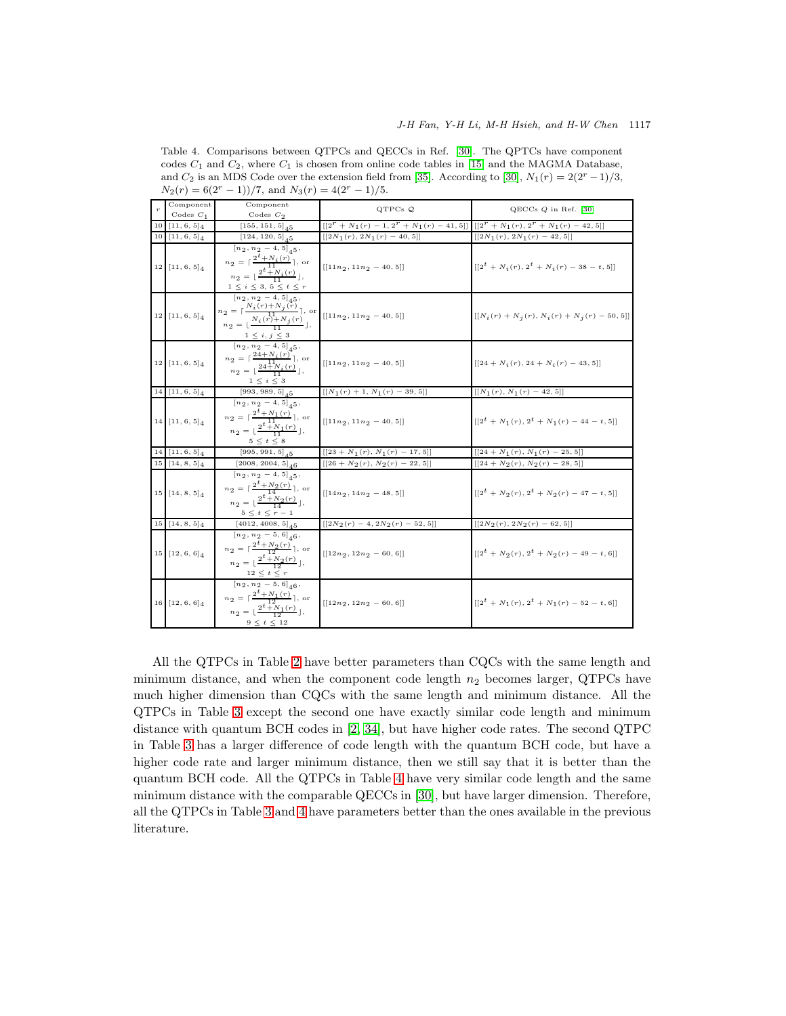|    | Component                    | Component                                                                                                                                                                                                                                                                                                                   |                                                                                     |                                                                 |
|----|------------------------------|-----------------------------------------------------------------------------------------------------------------------------------------------------------------------------------------------------------------------------------------------------------------------------------------------------------------------------|-------------------------------------------------------------------------------------|-----------------------------------------------------------------|
|    | Codes $C_1$                  | Codes $C_2$                                                                                                                                                                                                                                                                                                                 | QTPCs $Q$                                                                           | $QECCs$ $Q$ in Ref. $[30]$                                      |
| 10 | $[11, 6, 5]_4$               | $[155, 151, 5]$ <sub>45</sub>                                                                                                                                                                                                                                                                                               | $[[2^r + N_1(r) - 1, 2^r + N_1(r) - 41, 5]] [[2^r + N_1(r), 2^r + N_1(r) - 42, 5]]$ |                                                                 |
| 10 | $[11, 6, 5]_4$               | $[124, 120, 5]_{45}$                                                                                                                                                                                                                                                                                                        | $\left[\left[2N_{1}(r),\,2N_{1}(r)\,-\,40,\,5\right]\right]$                        | $[[2N_1(r), 2N_1(r) - 42, 5]]$                                  |
|    | $12$ [11, 6, 5] <sub>4</sub> | $[n_2, n_2-4, 5]_{45}$ ,<br>$n_2 = \lceil \frac{2^t + N_i(r)}{11} \rceil$ , or<br>$n_2 = \lfloor \frac{2^t + N_i(r)}{11} \rfloor,$<br>$1 \leq i \leq 3, 5 \leq t \leq r$<br>$[n_2, n_2 - 4, 5]_4 5,$                                                                                                                        | $[[11n_2, 11n_2 - 40, 5]]$                                                          | $[[2^t + N_i(r), 2^t + N_i(r) - 38 - t, 5]]$                    |
|    | $12 [11, 6, 5]_4$            | $n_2 = \left[\frac{N_i(r) + N_j(r)}{1}\right]$ , or<br>$n_2 = \left[\frac{N_i(r) + N_j(r)}{1}\right]$ , or                                                                                                                                                                                                                  | $[[11n_2, 11n_2 - 40, 5]]$                                                          | $[[N_i(r) + N_j(r), N_i(r) + N_j(r) - 50, 5]]$                  |
|    | $12$ [11, 6, 5] <sub>4</sub> | $\frac{1\,\leq\,i,\,j\,\leq\,3}{\left[n_{\,2}\,,\,n_{\,2}\,-\,4\,,\,5\right]_{\,4}5\,,}$<br>$n_2 = \lceil \frac{24 + N_i(r)}{11} \rceil$ , or<br>$n_2 = \lfloor \frac{24 \overline{+} N_i(r)}{11} \rfloor,$<br>$1\leq i\leq 3$                                                                                              | $[[11n_2, 11n_2 - 40, 5]]$                                                          | $[[24 + N_i(r), 24 + N_i(r) - 43, 5]]$                          |
|    | $14 [11, 6, 5]$ 4            | $[993, 989, 5]_{45}$                                                                                                                                                                                                                                                                                                        | $[[N_1(r) + 1, N_1(r) - 39, 5]]$                                                    | $[[N_1(r), N_1(r) - 42, 5]]$                                    |
|    | $14$ [11, 6, 5] <sub>4</sub> | $[n_2, n_2-4, 5]$ <sub>45</sub> ,<br>$n_2 = \lceil \frac{2^t + N_1(r)}{11} \rceil$ , or<br>$n_2 = \lfloor \frac{2^t + N_1(r)}{11} \rfloor,$<br>$\begin{array}{c} \mathbf{5} \leq \sqrt{t} \leq \mathbf{8} \\ \left[ 995,991,5 \right]_{4} \mathbf{5} \end{array}$                                                           | $[[11n_2, 11n_2 - 40, 5]]$                                                          | $[[2^t + N_1(r), 2^t + N_1(r) - 44 - t, 5]]$                    |
| 14 | $[11, 6, 5]_4$               |                                                                                                                                                                                                                                                                                                                             | $[[23 + N_1(r), N_1(r) - 17, 5]]$                                                   | $[[24 + N_1(r), N_1(r) - 25, 5]]$                               |
|    | $15 [14, 8, 5]_4$            | $[2008, 2004, 5]$ <sub>46</sub>                                                                                                                                                                                                                                                                                             | $[[26 + N2(r), N2(r) - 22, 5]]$                                                     | $[[24 + N_2(r), N_2(r) - 28, 5]]$                               |
|    | $15 [14, 8, 5]_4$            | $[n_2, n_2-4, 5]_{45}$ ,<br>$n_2 = \lceil \frac{2^t + N_2(r)}{14} \rceil$ , or<br>$n_2 = \lfloor \frac{2^t + N_2(r)}{14} \rfloor,$<br>$\begin{array}{c} \mathbf{5}\leq t\leq r-1\\ \left[4012,4008,5\right]_{4}\mathbf{5} \end{array}$                                                                                      | $[[14n_2, 14n_2 - 48, 5]]$                                                          | $[[2^t + N_2(r), 2^t + N_2(r) - 47 - t, 5]]$                    |
|    | $15 \t[14, 8, 5]_4$          |                                                                                                                                                                                                                                                                                                                             | $\left[ \left[ 2N_{2}(r)\,-\,4,2N_{2}(r)\,-\,52,5\right] \right]$                   | $\left[ \left[ 2N_{2}(r),\,2N_{2}(r)\,-\,62,\,5\right] \right]$ |
|    | $15$ [12, 6, 6] $4$          | $[n_2, n_2 - 5, 6]$ <sub>46</sub> ,<br>$n_2 = \lceil \frac{2^t + N_2(r)}{12} \rceil$ , or<br>$n_2 = \lfloor \frac{2^t + N_2(r)}{12} \rfloor,$                                                                                                                                                                               | $[[12n_2, 12n_2 - 60, 6]]$                                                          | $[[2^t + N_2(r), 2^t + N_2(r) - 49 - t, 6]]$                    |
|    | $16 [12, 6, 6]$ 4            | $\frac{12\hspace{0.1cm} \leq \hspace{0.1cm} t \hspace{0.1cm} \leq \hspace{0.1cm} r}{\left[n_{\,2},\, n_{\,2}\,-\,5,\,6\right]_{\,4}6\,,}$<br>$n_2 = \lceil \frac{2^t + N_1(r)}{12} \rceil$ , or<br>$n_2 = \lfloor \frac{2^t + N_1(r)}{12} \rfloor,$<br>$9\hspace{1mm} \leq \hspace{1mm} t\hspace{1mm} \leq \hspace{1mm} 12$ | $[[12n_2, 12n_2 - 60, 6]]$                                                          | $[[2^t + N_1(r), 2^t + N_1(r) - 52 - t, 6]]$                    |

<span id="page-12-0"></span>Table 4. Comparisons between QTPCs and QECCs in Ref. [\[30\]](#page-17-11). The QPTCs have component codes  $C_1$  and  $C_2$ , where  $C_1$  is chosen from online code tables in [\[15\]](#page-16-20) and the MAGMA Database, and  $C_2$  is an MDS Code over the extension field from [\[35\]](#page-17-15). According to [\[30\]](#page-17-11),  $N_1(r) = 2(2r - 1)/3$ ,  $N_2(r) = 6(2^r - 1)/7$ , and  $N_3(r) = 4(2^r - 1)/5$ .

All the QTPCs in Table [2](#page-9-1) have better parameters than CQCs with the same length and minimum distance, and when the component code length  $n_2$  becomes larger, QTPCs have much higher dimension than CQCs with the same length and minimum distance. All the QTPCs in Table [3](#page-11-0) except the second one have exactly similar code length and minimum distance with quantum BCH codes in [\[2,](#page-16-17) [34\]](#page-17-10), but have higher code rates. The second QTPC in Table [3](#page-11-0) has a larger difference of code length with the quantum BCH code, but have a higher code rate and larger minimum distance, then we still say that it is better than the quantum BCH code. All the QTPCs in Table [4](#page-12-0) have very similar code length and the same minimum distance with the comparable QECCs in [\[30\]](#page-17-11), but have larger dimension. Therefore, all the QTPCs in Table [3](#page-11-0) and [4](#page-12-0) have parameters better than the ones available in the previous literature.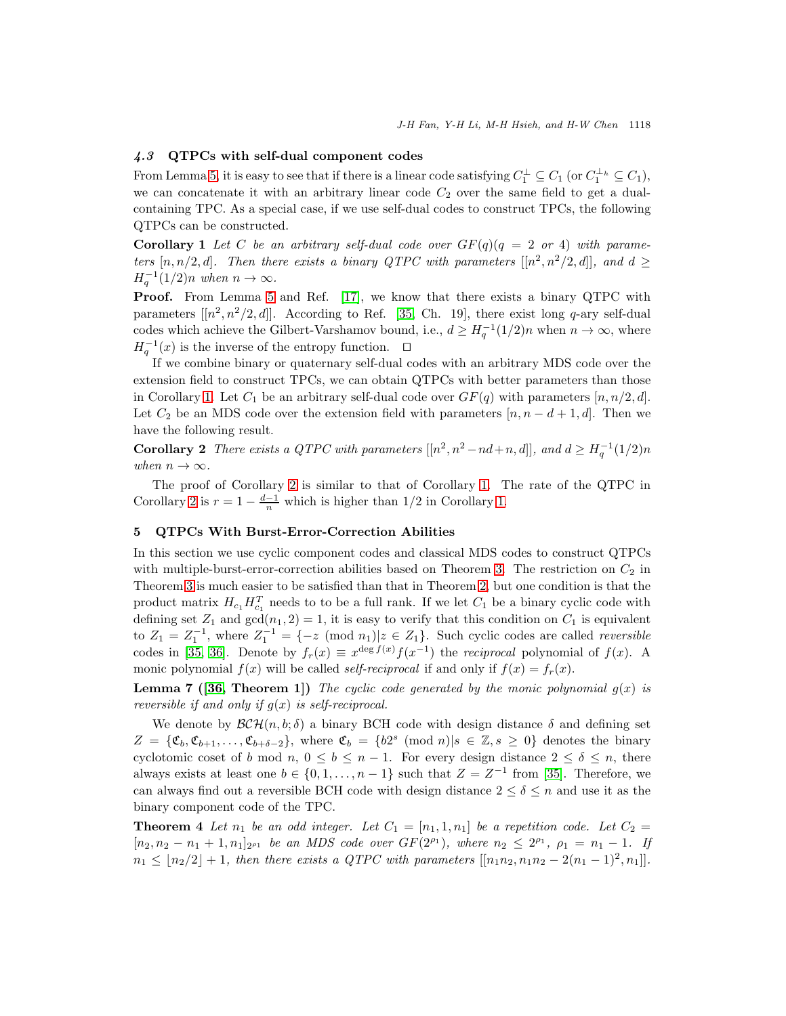## 4.3 QTPCs with self-dual component codes

From Lemma [5,](#page-5-5) it is easy to see that if there is a linear code satisfying  $C_1^{\perp} \subseteq C_1$  (or  $C_1^{\perp_h} \subseteq C_1$ ), we can concatenate it with an arbitrary linear code  $C_2$  over the same field to get a dualcontaining TPC. As a special case, if we use self-dual codes to construct TPCs, the following QTPCs can be constructed.

<span id="page-13-1"></span>**Corollary 1** Let C be an arbitrary self-dual code over  $GF(q)(q = 2 \text{ or } 4)$  with parameters  $[n, n/2, d]$ . Then there exists a binary QTPC with parameters  $[[n^2, n^2/2, d]]$ , and  $d \geq$  $H_q^{-1}(1/2)n$  when  $n \to \infty$ .

**Proof.** From Lemma [5](#page-5-5) and Ref. [\[17\]](#page-16-14), we know that there exists a binary QTPC with parameters  $[[n^2, n^2/2, d]]$ . According to Ref. [\[35,](#page-17-15) Ch. 19], there exist long q-ary self-dual codes which achieve the Gilbert-Varshamov bound, i.e.,  $d \geq H_q^{-1}(1/2)n$  when  $n \to \infty$ , where  $H_q^{-1}(x)$  is the inverse of the entropy function. □

If we combine binary or quaternary self-dual codes with an arbitrary MDS code over the extension field to construct TPCs, we can obtain QTPCs with better parameters than those in Corollary [1.](#page-13-1) Let  $C_1$  be an arbitrary self-dual code over  $GF(q)$  with parameters  $[n, n/2, d]$ . Let  $C_2$  be an MDS code over the extension field with parameters  $[n, n - d + 1, d]$ . Then we have the following result.

<span id="page-13-2"></span>**Corollary 2** There exists a QTPC with parameters  $[[n^2, n^2-nd+n, d]],$  and  $d \geq H_q^{-1}(1/2)n$ when  $n \to \infty$ .

The proof of Corollary [2](#page-13-2) is similar to that of Corollary [1.](#page-13-1) The rate of the QTPC in Corollary [2](#page-13-2) is  $r = 1 - \frac{d-1}{n}$  which is higher than  $1/2$  in Corollary [1.](#page-13-1)

### <span id="page-13-0"></span>5 QTPCs With Burst-Error-Correction Abilities

In this section we use cyclic component codes and classical MDS codes to construct QTPCs with multiple-burst-error-correction abilities based on Theorem [3.](#page-8-0) The restriction on  $C_2$  in Theorem [3](#page-8-0) is much easier to be satisfied than that in Theorem [2,](#page-7-1) but one condition is that the product matrix  $H_{c_1} H_{c_1}^T$  needs to to be a full rank. If we let  $C_1$  be a binary cyclic code with defining set  $Z_1$  and  $gcd(n_1, 2) = 1$ , it is easy to verify that this condition on  $C_1$  is equivalent to  $Z_1 = Z_1^{-1}$ , where  $Z_1^{-1} = \{-z \pmod{n_1} | z \in Z_1\}$ . Such cyclic codes are called *reversible* codes in [\[35,](#page-17-15) [36\]](#page-17-19). Denote by  $f_r(x) \equiv x^{\deg f(x)} f(x^{-1})$  the *reciprocal* polynomial of  $f(x)$ . A monic polynomial  $f(x)$  will be called *self-reciprocal* if and only if  $f(x) = f_r(x)$ .

**Lemma 7 ([\[36,](#page-17-19) Theorem 1])** The cyclic code generated by the monic polynomial  $g(x)$  is reversible if and only if  $g(x)$  is self-reciprocal.

We denote by  $\mathcal{BCH}(n, b; \delta)$  a binary BCH code with design distance  $\delta$  and defining set  $Z = \{\mathfrak{C}_b, \mathfrak{C}_{b+1}, \ldots, \mathfrak{C}_{b+\delta-2}\},\$  where  $\mathfrak{C}_b = \{b2^s \pmod{n} | s \in \mathbb{Z}, s \geq 0\}$  denotes the binary cyclotomic coset of b mod n,  $0 \leq b \leq n-1$ . For every design distance  $2 \leq \delta \leq n$ , there always exists at least one  $b \in \{0, 1, \ldots, n-1\}$  such that  $Z = Z^{-1}$  from [\[35\]](#page-17-15). Therefore, we can always find out a reversible BCH code with design distance  $2 \leq \delta \leq n$  and use it as the binary component code of the TPC.

**Theorem 4** Let  $n_1$  be an odd integer. Let  $C_1 = [n_1, 1, n_1]$  be a repetition code. Let  $C_2$  $[n_2, n_2 - n_1 + 1, n_1]_{2^{p_1}}$  be an MDS code over  $GF(2^{p_1})$ , where  $n_2 \leq 2^{p_1}$ ,  $\rho_1 = n_1 - 1$ . If  $n_1 \leq \lfloor n_2/2 \rfloor + 1$ , then there exists a QTPC with parameters  $[[n_1n_2, n_1n_2 - 2(n_1-1)^2, n_1]].$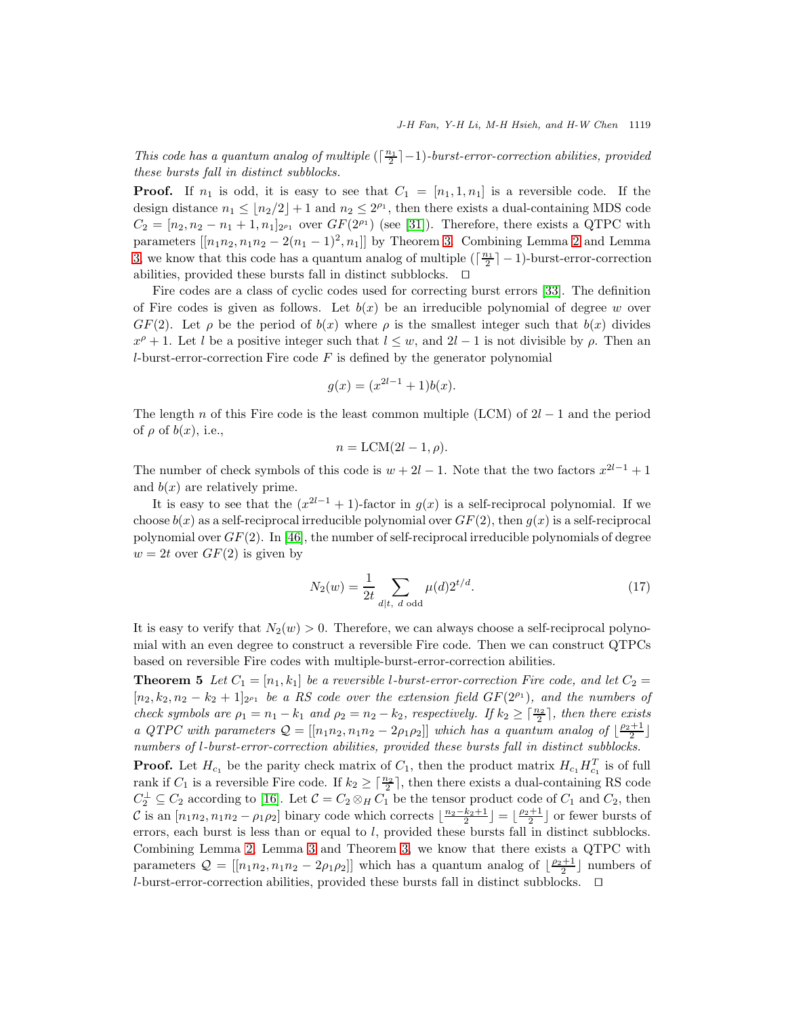This code has a quantum analog of multiple  $(\lceil \frac{n_1}{2} \rceil - 1)$ -burst-error-correction abilities, provided these bursts fall in distinct subblocks.

**Proof.** If  $n_1$  is odd, it is easy to see that  $C_1 = [n_1, 1, n_1]$  is a reversible code. If the design distance  $n_1 \leq \lfloor n_2/2 \rfloor + 1$  and  $n_2 \leq 2^{p_1}$ , then there exists a dual-containing MDS code  $C_2 = [n_2, n_2 - n_1 + 1, n_1]_{2^{p_1}}$  over  $GF(2^{p_1})$  (see [\[31\]](#page-17-20)). Therefore, there exists a QTPC with parameters  $[[n_1n_2, n_1n_2 - 2(n_1 - 1)^2, n_1]]$  $[[n_1n_2, n_1n_2 - 2(n_1 - 1)^2, n_1]]$  $[[n_1n_2, n_1n_2 - 2(n_1 - 1)^2, n_1]]$  by Theorem [3.](#page-8-0) Combining Lemma 2 and Lemma [3,](#page-4-2) we know that this code has a quantum analog of multiple  $(\lceil \frac{n_1}{2} \rceil - 1)$ -burst-error-correction abilities, provided these bursts fall in distinct subblocks. ⊓⊔

Fire codes are a class of cyclic codes used for correcting burst errors [\[33\]](#page-17-21). The definition of Fire codes is given as follows. Let  $b(x)$  be an irreducible polynomial of degree w over  $GF(2)$ . Let  $\rho$  be the period of  $b(x)$  where  $\rho$  is the smallest integer such that  $b(x)$  divides  $x^{\rho}+1$ . Let l be a positive integer such that  $l \leq w$ , and  $2l-1$  is not divisible by  $\rho$ . Then an  $l$ -burst-error-correction Fire code  $F$  is defined by the generator polynomial

$$
g(x) = (x^{2l-1} + 1)b(x).
$$

The length n of this Fire code is the least common multiple (LCM) of  $2l-1$  and the period of  $\rho$  of  $b(x)$ , i.e.,

$$
n = \text{LCM}(2l - 1, \rho).
$$

The number of check symbols of this code is  $w + 2l - 1$ . Note that the two factors  $x^{2l-1} + 1$ and  $b(x)$  are relatively prime.

It is easy to see that the  $(x^{2l-1}+1)$ -factor in  $g(x)$  is a self-reciprocal polynomial. If we choose  $b(x)$  as a self-reciprocal irreducible polynomial over  $GF(2)$ , then  $g(x)$  is a self-reciprocal polynomial over  $GF(2)$ . In [\[46\]](#page-17-22), the number of self-reciprocal irreducible polynomials of degree  $w = 2t$  over  $GF(2)$  is given by

$$
N_2(w) = \frac{1}{2t} \sum_{d|t, d \text{ odd}} \mu(d) 2^{t/d}.
$$
 (17)

It is easy to verify that  $N_2(w) > 0$ . Therefore, we can always choose a self-reciprocal polynomial with an even degree to construct a reversible Fire code. Then we can construct QTPCs based on reversible Fire codes with multiple-burst-error-correction abilities.

**Theorem 5** Let  $C_1 = [n_1, k_1]$  be a reversible l-burst-error-correction Fire code, and let  $C_2$  $[n_2, k_2, n_2 - k_2 + 1]_{2^{p_1}}$  be a RS code over the extension field  $GF(2^{p_1})$ , and the numbers of check symbols are  $\rho_1 = n_1 - k_1$  and  $\rho_2 = n_2 - k_2$ , respectively. If  $k_2 \geq \lceil \frac{n_2}{2} \rceil$ , then there exists a QTPC with parameters  $Q = [[n_1n_2, n_1n_2 - 2\rho_1\rho_2]]$  which has a quantum analog of  $\lfloor \frac{\rho_2+1}{2} \rfloor$ numbers of l-burst-error-correction abilities, provided these bursts fall in distinct subblocks.

**Proof.** Let  $H_{c_1}$  be the parity check matrix of  $C_1$ , then the product matrix  $H_{c_1} H_{c_1}^T$  is of full rank if  $C_1$  is a reversible Fire code. If  $k_2 \geq \lceil \frac{n_2}{2} \rceil$ , then there exists a dual-containing RS code  $C_2^{\perp} \subseteq C_2$  according to [\[16\]](#page-16-22). Let  $C = C_2 \otimes_H C_1$  be the tensor product code of  $C_1$  and  $C_2$ , then C is an  $[n_1n_2, n_1n_2 - \rho_1\rho_2]$  binary code which corrects  $\lfloor \frac{n_2-k_2+1}{2} \rfloor = \lfloor \frac{\rho_2+1}{2} \rfloor$  or fewer bursts of errors, each burst is less than or equal to  $l$ , provided these bursts fall in distinct subblocks. Combining Lemma [2,](#page-4-1) Lemma [3](#page-4-2) and Theorem [3,](#page-8-0) we know that there exists a QTPC with parameters  $Q = [[n_1n_2, n_1n_2 - 2\rho_1\rho_2]]$  which has a quantum analog of  $\lfloor \frac{\rho_2+1}{2} \rfloor$  numbers of l-burst-error-correction abilities, provided these bursts fall in distinct subblocks. ⊓⊔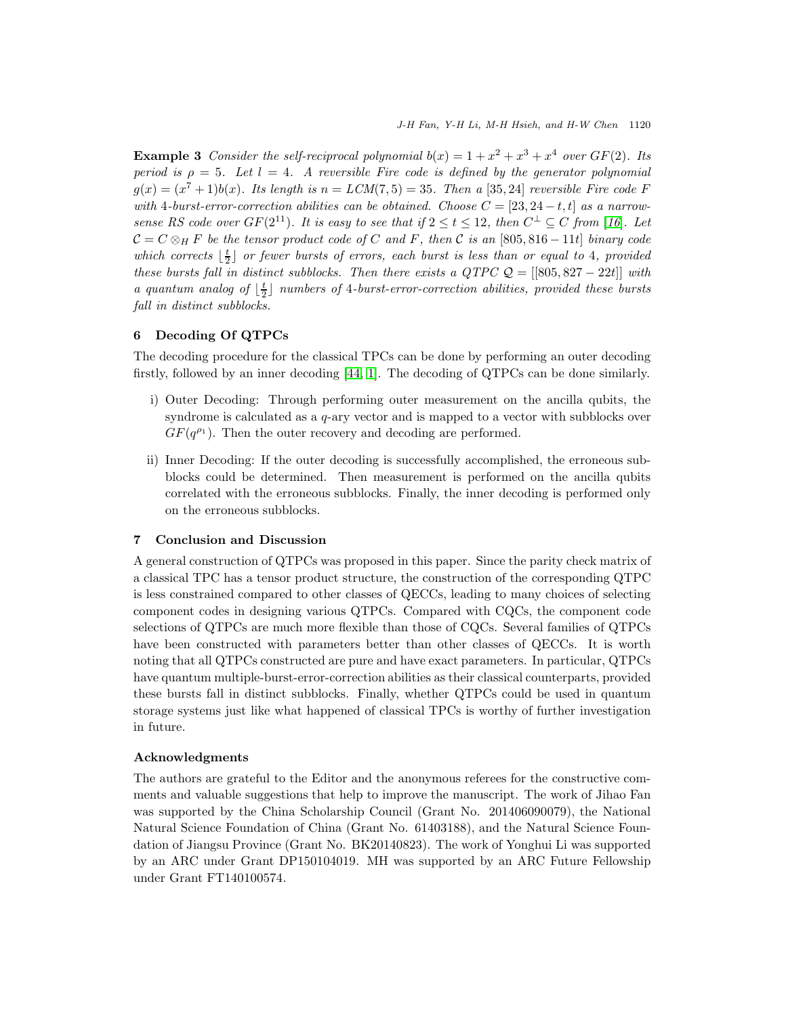**Example 3** Consider the self-reciprocal polynomial  $b(x) = 1 + x^2 + x^3 + x^4$  over  $GF(2)$ . Its period is  $\rho = 5$ . Let  $l = 4$ . A reversible Fire code is defined by the generator polynomial  $g(x) = (x^7 + 1)b(x)$ . Its length is  $n = LCM(7, 5) = 35$ . Then a [35,24] reversible Fire code F with 4-burst-error-correction abilities can be obtained. Choose  $C = [23, 24 - t, t]$  as a narrowsense RS code over  $GF(2^{11})$ . It is easy to see that if  $2 \le t \le 12$ , then  $C^{\perp} \subseteq C$  from [[16](#page-16-22)]. Let  $C = C \otimes_H F$  be the tensor product code of C and F, then C is an [805, 816 – 11t] binary code which corrects  $\lfloor \frac{t}{2} \rfloor$  or fewer bursts of errors, each burst is less than or equal to 4, provided these bursts fall in distinct subblocks. Then there exists a  $QTPCQ = \{ [805, 827 - 22t] \}$  with a quantum analog of  $\lfloor \frac{t}{2} \rfloor$  numbers of 4-burst-error-correction abilities, provided these bursts fall in distinct subblocks.

## <span id="page-15-0"></span>6 Decoding Of QTPCs

The decoding procedure for the classical TPCs can be done by performing an outer decoding firstly, followed by an inner decoding [\[44,](#page-17-3) [1\]](#page-16-5). The decoding of QTPCs can be done similarly.

- i) Outer Decoding: Through performing outer measurement on the ancilla qubits, the syndrome is calculated as a  $q$ -ary vector and is mapped to a vector with subblocks over  $GF(q^{\rho_1})$ . Then the outer recovery and decoding are performed.
- ii) Inner Decoding: If the outer decoding is successfully accomplished, the erroneous subblocks could be determined. Then measurement is performed on the ancilla qubits correlated with the erroneous subblocks. Finally, the inner decoding is performed only on the erroneous subblocks.

#### <span id="page-15-1"></span>7 Conclusion and Discussion

A general construction of QTPCs was proposed in this paper. Since the parity check matrix of a classical TPC has a tensor product structure, the construction of the corresponding QTPC is less constrained compared to other classes of QECCs, leading to many choices of selecting component codes in designing various QTPCs. Compared with CQCs, the component code selections of QTPCs are much more flexible than those of CQCs. Several families of QTPCs have been constructed with parameters better than other classes of QECCs. It is worth noting that all QTPCs constructed are pure and have exact parameters. In particular, QTPCs have quantum multiple-burst-error-correction abilities as their classical counterparts, provided these bursts fall in distinct subblocks. Finally, whether QTPCs could be used in quantum storage systems just like what happened of classical TPCs is worthy of further investigation in future.

#### Acknowledgments

The authors are grateful to the Editor and the anonymous referees for the constructive comments and valuable suggestions that help to improve the manuscript. The work of Jihao Fan was supported by the China Scholarship Council (Grant No. 201406090079), the National Natural Science Foundation of China (Grant No. 61403188), and the Natural Science Foundation of Jiangsu Province (Grant No. BK20140823). The work of Yonghui Li was supported by an ARC under Grant DP150104019. MH was supported by an ARC Future Fellowship under Grant FT140100574.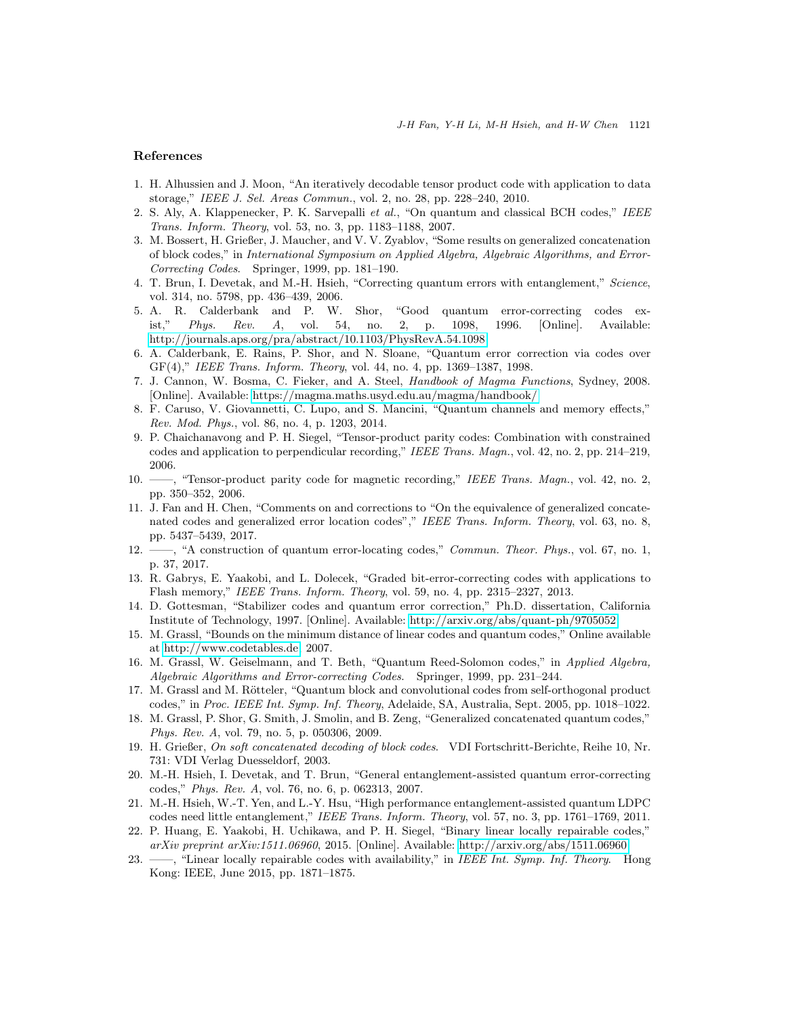# <span id="page-16-5"></span>References

- <span id="page-16-17"></span>1. H. Alhussien and J. Moon, "An iteratively decodable tensor product code with application to data storage," *IEEE J. Sel. Areas Commun.*, vol. 2, no. 28, pp. 228–240, 2010.
- <span id="page-16-11"></span>2. S. Aly, A. Klappenecker, P. K. Sarvepalli *et al.*, "On quantum and classical BCH codes," *IEEE Trans. Inform. Theory*, vol. 53, no. 3, pp. 1183–1188, 2007.
- 3. M. Bossert, H. Grießer, J. Maucher, and V. V. Zyablov, "Some results on generalized concatenation of block codes," in *International Symposium on Applied Algebra, Algebraic Algorithms, and Error-Correcting Codes*. Springer, 1999, pp. 181–190.
- <span id="page-16-2"></span>4. T. Brun, I. Devetak, and M.-H. Hsieh, "Correcting quantum errors with entanglement," *Science*, vol. 314, no. 5798, pp. 436–439, 2006.
- <span id="page-16-19"></span>5. A. R. Calderbank and P. W. Shor, "Good quantum error-correcting codes exist," *Phys. Rev. A*, vol. 54, no. 2, p. 1098, 1996. [Online]. Available: <http://journals.aps.org/pra/abstract/10.1103/PhysRevA.54.1098>
- <span id="page-16-1"></span>6. A. Calderbank, E. Rains, P. Shor, and N. Sloane, "Quantum error correction via codes over GF(4)," *IEEE Trans. Inform. Theory*, vol. 44, no. 4, pp. 1369–1387, 1998.
- <span id="page-16-21"></span>7. J. Cannon, W. Bosma, C. Fieker, and A. Steel, *Handbook of Magma Functions*, Sydney, 2008. [Online]. Available:<https://magma.maths.usyd.edu.au/magma/handbook/>
- <span id="page-16-18"></span>8. F. Caruso, V. Giovannetti, C. Lupo, and S. Mancini, "Quantum channels and memory effects," *Rev. Mod. Phys.*, vol. 86, no. 4, p. 1203, 2014.
- <span id="page-16-7"></span>9. P. Chaichanavong and P. H. Siegel, "Tensor-product parity codes: Combination with constrained codes and application to perpendicular recording," *IEEE Trans. Magn.*, vol. 42, no. 2, pp. 214–219, 2006.
- <span id="page-16-6"></span>10. ——, "Tensor-product parity code for magnetic recording," *IEEE Trans. Magn.*, vol. 42, no. 2, pp. 350–352, 2006.
- <span id="page-16-13"></span>11. J. Fan and H. Chen, "Comments on and corrections to "On the equivalence of generalized concatenated codes and generalized error location codes"," *IEEE Trans. Inform. Theory*, vol. 63, no. 8, pp. 5437–5439, 2017.
- <span id="page-16-15"></span>12. ——, "A construction of quantum error-locating codes," *Commun. Theor. Phys.*, vol. 67, no. 1, p. 37, 2017.
- <span id="page-16-8"></span>13. R. Gabrys, E. Yaakobi, and L. Dolecek, "Graded bit-error-correcting codes with applications to Flash memory," *IEEE Trans. Inform. Theory*, vol. 59, no. 4, pp. 2315–2327, 2013.
- <span id="page-16-0"></span>14. D. Gottesman, "Stabilizer codes and quantum error correction," Ph.D. dissertation, California Institute of Technology, 1997. [Online]. Available:<http://arxiv.org/abs/quant-ph/9705052>
- <span id="page-16-20"></span>15. M. Grassl, "Bounds on the minimum distance of linear codes and quantum codes," Online available at [http://www.codetables.de,](http://www.codetables.de) 2007.
- <span id="page-16-22"></span>16. M. Grassl, W. Geiselmann, and T. Beth, "Quantum Reed-Solomon codes," in *Applied Algebra, Algebraic Algorithms and Error-correcting Codes*. Springer, 1999, pp. 231–244.
- <span id="page-16-14"></span>17. M. Grassl and M. Rötteler, "Quantum block and convolutional codes from self-orthogonal product codes," in *Proc. IEEE Int. Symp. Inf. Theory*, Adelaide, SA, Australia, Sept. 2005, pp. 1018–1022.
- <span id="page-16-16"></span>18. M. Grassl, P. Shor, G. Smith, J. Smolin, and B. Zeng, "Generalized concatenated quantum codes," *Phys. Rev. A*, vol. 79, no. 5, p. 050306, 2009.
- <span id="page-16-12"></span>19. H. Grießer, *On soft concatenated decoding of block codes*. VDI Fortschritt-Berichte, Reihe 10, Nr. 731: VDI Verlag Duesseldorf, 2003.
- <span id="page-16-3"></span>20. M.-H. Hsieh, I. Devetak, and T. Brun, "General entanglement-assisted quantum error-correcting codes," *Phys. Rev. A*, vol. 76, no. 6, p. 062313, 2007.
- <span id="page-16-4"></span>21. M.-H. Hsieh, W.-T. Yen, and L.-Y. Hsu, "High performance entanglement-assisted quantum LDPC codes need little entanglement," *IEEE Trans. Inform. Theory*, vol. 57, no. 3, pp. 1761–1769, 2011.
- <span id="page-16-10"></span>22. P. Huang, E. Yaakobi, H. Uchikawa, and P. H. Siegel, "Binary linear locally repairable codes," *arXiv preprint arXiv:1511.06960*, 2015. [Online]. Available:<http://arxiv.org/abs/1511.06960>
- <span id="page-16-9"></span>23. ——, "Linear locally repairable codes with availability," in *IEEE Int. Symp. Inf. Theory*. Hong Kong: IEEE, June 2015, pp. 1871–1875.